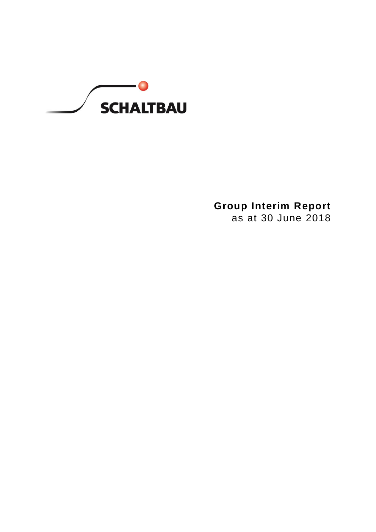

# **Group Interim Report**

as at 30 June 2018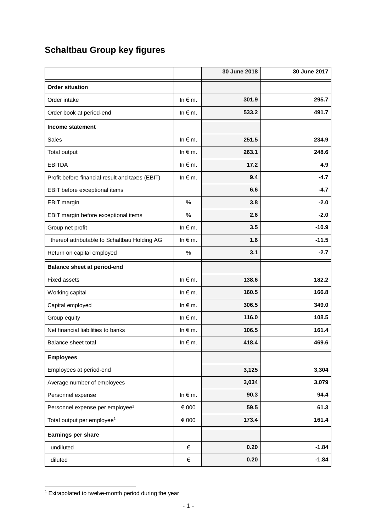# **Schaltbau Group key figures**

|                                                 |                   | 30 June 2018 | 30 June 2017 |
|-------------------------------------------------|-------------------|--------------|--------------|
| <b>Order situation</b>                          |                   |              |              |
| Order intake                                    | In $\notin$ m.    | 301.9        | 295.7        |
| Order book at period-end                        | $ln \in m$ .      | 533.2        | 491.7        |
| Income statement                                |                   |              |              |
| <b>Sales</b>                                    | In $\notin$ m.    | 251.5        | 234.9        |
| Total output                                    | $ln \in m$ .      | 263.1        | 248.6        |
| <b>EBITDA</b>                                   | $ln \in m$ .      | 17.2         | 4.9          |
| Profit before financial result and taxes (EBIT) | In $\notin$ m.    | 9.4          | $-4.7$       |
| EBIT before exceptional items                   |                   | 6.6          | $-4.7$       |
| EBIT margin                                     | %                 | 3.8          | $-2.0$       |
| EBIT margin before exceptional items            | $\%$              | 2.6          | $-2.0$       |
| Group net profit                                | $ln \in m$ .      | 3.5          | $-10.9$      |
| thereof attributable to Schaltbau Holding AG    | $\ln \epsilon$ m. | 1.6          | $-11.5$      |
| Return on capital employed                      | $\%$              | 3.1          | $-2.7$       |
| <b>Balance sheet at period-end</b>              |                   |              |              |
| <b>Fixed assets</b>                             | In $\notin$ m.    | 138.6        | 182.2        |
| Working capital                                 | $ln \in m$ .      | 160.5        | 166.8        |
| Capital employed                                | $ln \in m$ .      | 306.5        | 349.0        |
| Group equity                                    | In $\notin$ m.    | 116.0        | 108.5        |
| Net financial liabilities to banks              | $ln \in m$ .      | 106.5        | 161.4        |
| Balance sheet total                             | In $\notin$ m.    | 418.4        | 469.6        |
| <b>Employees</b>                                |                   |              |              |
| Employees at period-end                         |                   | 3,125        | 3,304        |
| Average number of employees                     |                   | 3,034        | 3,079        |
| Personnel expense                               | In $\notin$ m.    | 90.3         | 94.4         |
| Personnel expense per employee <sup>1</sup>     | € 000             | 59.5         | 61.3         |
| Total output per employee <sup>1</sup>          | € 000             | 173.4        | 161.4        |
| Earnings per share                              |                   |              |              |
| undiluted                                       | €                 | 0.20         | $-1.84$      |
| diluted                                         | €                 | 0.20         | $-1.84$      |

 <sup>1</sup> Extrapolated to twelve-month period during the year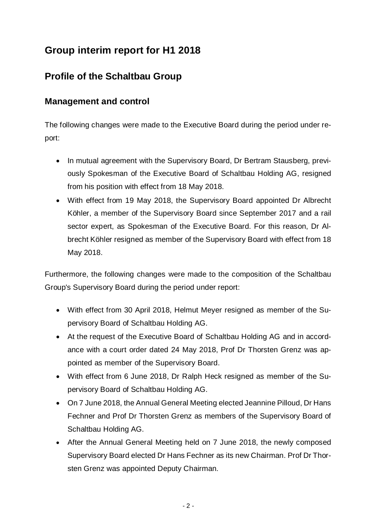## **Group interim report for H1 2018**

## **Profile of the Schaltbau Group**

## **Management and control**

The following changes were made to the Executive Board during the period under report:

- In mutual agreement with the Supervisory Board, Dr Bertram Stausberg, previously Spokesman of the Executive Board of Schaltbau Holding AG, resigned from his position with effect from 18 May 2018.
- With effect from 19 May 2018, the Supervisory Board appointed Dr Albrecht Köhler, a member of the Supervisory Board since September 2017 and a rail sector expert, as Spokesman of the Executive Board. For this reason, Dr Albrecht Köhler resigned as member of the Supervisory Board with effect from 18 May 2018.

Furthermore, the following changes were made to the composition of the Schaltbau Group's Supervisory Board during the period under report:

- With effect from 30 April 2018, Helmut Meyer resigned as member of the Supervisory Board of Schaltbau Holding AG.
- At the request of the Executive Board of Schaltbau Holding AG and in accordance with a court order dated 24 May 2018, Prof Dr Thorsten Grenz was appointed as member of the Supervisory Board.
- With effect from 6 June 2018, Dr Ralph Heck resigned as member of the Supervisory Board of Schaltbau Holding AG.
- On 7 June 2018, the Annual General Meeting elected Jeannine Pilloud, Dr Hans Fechner and Prof Dr Thorsten Grenz as members of the Supervisory Board of Schaltbau Holding AG.
- After the Annual General Meeting held on 7 June 2018, the newly composed Supervisory Board elected Dr Hans Fechner as its new Chairman. Prof Dr Thorsten Grenz was appointed Deputy Chairman.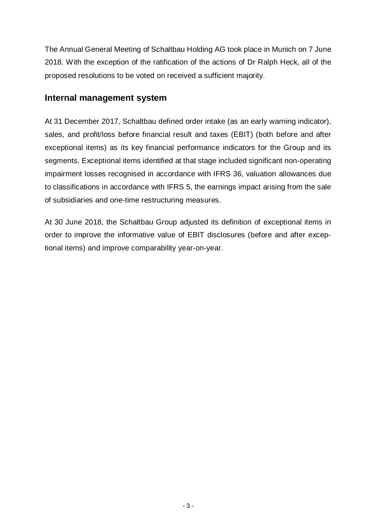The Annual General Meeting of Schaltbau Holding AG took place in Munich on 7 June 2018. With the exception of the ratification of the actions of Dr Ralph Heck, all of the proposed resolutions to be voted on received a sufficient majority.

### **Internal management system**

At 31 December 2017, Schaltbau defined order intake (as an early warning indicator), sales, and profit/loss before financial result and taxes (EBIT) (both before and after exceptional items) as its key financial performance indicators for the Group and its segments. Exceptional items identified at that stage included significant non-operating impairment losses recognised in accordance with IFRS 36, valuation allowances due to classifications in accordance with IFRS 5, the earnings impact arising from the sale of subsidiaries and one-time restructuring measures.

At 30 June 2018, the Schaltbau Group adjusted its definition of exceptional items in order to improve the informative value of EBIT disclosures (before and after exceptional items) and improve comparability year-on-year.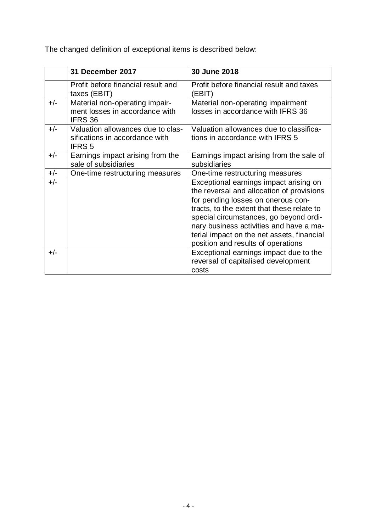The changed definition of exceptional items is described below:

|       | 31 December 2017                                                                     | 30 June 2018                                                                                                                                                                                                                                                                                                                                     |
|-------|--------------------------------------------------------------------------------------|--------------------------------------------------------------------------------------------------------------------------------------------------------------------------------------------------------------------------------------------------------------------------------------------------------------------------------------------------|
|       | Profit before financial result and<br>taxes (EBIT)                                   | Profit before financial result and taxes<br>(EBIT)                                                                                                                                                                                                                                                                                               |
| $+/-$ | Material non-operating impair-<br>ment losses in accordance with<br><b>IFRS 36</b>   | Material non-operating impairment<br>losses in accordance with IFRS 36                                                                                                                                                                                                                                                                           |
| $+/-$ | Valuation allowances due to clas-<br>sifications in accordance with<br><b>IFRS 5</b> | Valuation allowances due to classifica-<br>tions in accordance with IFRS 5                                                                                                                                                                                                                                                                       |
| $+/-$ | Earnings impact arising from the<br>sale of subsidiaries                             | Earnings impact arising from the sale of<br>subsidiaries                                                                                                                                                                                                                                                                                         |
| $+/-$ | One-time restructuring measures                                                      | One-time restructuring measures                                                                                                                                                                                                                                                                                                                  |
| $+/-$ |                                                                                      | Exceptional earnings impact arising on<br>the reversal and allocation of provisions<br>for pending losses on onerous con-<br>tracts, to the extent that these relate to<br>special circumstances, go beyond ordi-<br>nary business activities and have a ma-<br>terial impact on the net assets, financial<br>position and results of operations |
| $+/-$ |                                                                                      | Exceptional earnings impact due to the<br>reversal of capitalised development<br>costs                                                                                                                                                                                                                                                           |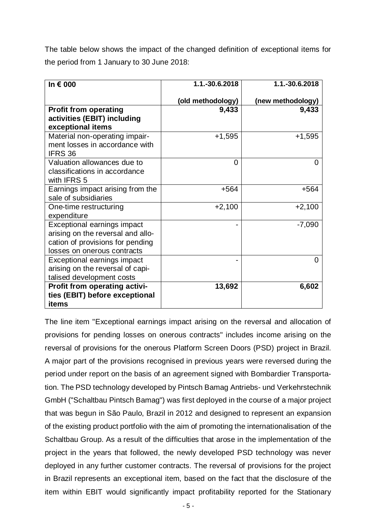The table below shows the impact of the changed definition of exceptional items for the period from 1 January to 30 June 2018:

| In $\epsilon$ 000                                                                                                                   | 1.1.-30.6.2018    | 1.1.-30.6.2018    |
|-------------------------------------------------------------------------------------------------------------------------------------|-------------------|-------------------|
|                                                                                                                                     | (old methodology) | (new methodology) |
| <b>Profit from operating</b><br>activities (EBIT) including<br>exceptional items                                                    | 9,433             | 9,433             |
| Material non-operating impair-<br>ment losses in accordance with<br>IFRS 36                                                         | $+1,595$          | $+1,595$          |
| Valuation allowances due to<br>classifications in accordance<br>with IFRS 5                                                         | 0                 | 0                 |
| Earnings impact arising from the<br>sale of subsidiaries                                                                            | $+564$            | $+564$            |
| One-time restructuring<br>expenditure                                                                                               | $+2,100$          | $+2,100$          |
| Exceptional earnings impact<br>arising on the reversal and allo-<br>cation of provisions for pending<br>losses on onerous contracts |                   | $-7,090$          |
| Exceptional earnings impact<br>arising on the reversal of capi-<br>talised development costs                                        |                   | 0                 |
| <b>Profit from operating activi-</b><br>ties (EBIT) before exceptional<br>items                                                     | 13,692            | 6,602             |

The line item "Exceptional earnings impact arising on the reversal and allocation of provisions for pending losses on onerous contracts" includes income arising on the reversal of provisions for the onerous Platform Screen Doors (PSD) project in Brazil. A major part of the provisions recognised in previous years were reversed during the period under report on the basis of an agreement signed with Bombardier Transportation. The PSD technology developed by Pintsch Bamag Antriebs- und Verkehrstechnik GmbH ("Schaltbau Pintsch Bamag") was first deployed in the course of a major project that was begun in São Paulo, Brazil in 2012 and designed to represent an expansion of the existing product portfolio with the aim of promoting the internationalisation of the Schaltbau Group. As a result of the difficulties that arose in the implementation of the project in the years that followed, the newly developed PSD technology was never deployed in any further customer contracts. The reversal of provisions for the project in Brazil represents an exceptional item, based on the fact that the disclosure of the item within EBIT would significantly impact profitability reported for the Stationary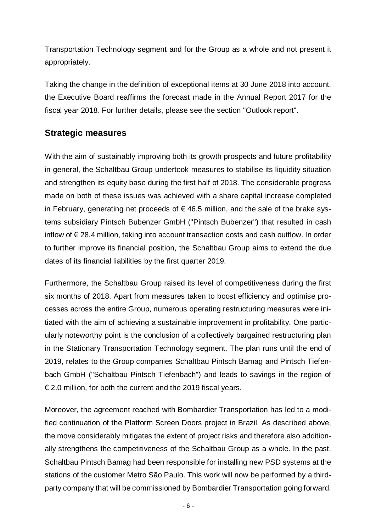Transportation Technology segment and for the Group as a whole and not present it appropriately.

Taking the change in the definition of exceptional items at 30 June 2018 into account, the Executive Board reaffirms the forecast made in the Annual Report 2017 for the fiscal year 2018. For further details, please see the section "Outlook report".

## **Strategic measures**

With the aim of sustainably improving both its growth prospects and future profitability in general, the Schaltbau Group undertook measures to stabilise its liquidity situation and strengthen its equity base during the first half of 2018. The considerable progress made on both of these issues was achieved with a share capital increase completed in February, generating net proceeds of  $\epsilon$  46.5 million, and the sale of the brake systems subsidiary Pintsch Bubenzer GmbH ("Pintsch Bubenzer") that resulted in cash inflow of € 28.4 million, taking into account transaction costs and cash outflow. In order to further improve its financial position, the Schaltbau Group aims to extend the due dates of its financial liabilities by the first quarter 2019.

Furthermore, the Schaltbau Group raised its level of competitiveness during the first six months of 2018. Apart from measures taken to boost efficiency and optimise processes across the entire Group, numerous operating restructuring measures were initiated with the aim of achieving a sustainable improvement in profitability. One particularly noteworthy point is the conclusion of a collectively bargained restructuring plan in the Stationary Transportation Technology segment. The plan runs until the end of 2019, relates to the Group companies Schaltbau Pintsch Bamag and Pintsch Tiefenbach GmbH ("Schaltbau Pintsch Tiefenbach") and leads to savings in the region of  $\epsilon$  2.0 million, for both the current and the 2019 fiscal years.

Moreover, the agreement reached with Bombardier Transportation has led to a modified continuation of the Platform Screen Doors project in Brazil. As described above, the move considerably mitigates the extent of project risks and therefore also additionally strengthens the competitiveness of the Schaltbau Group as a whole. In the past, Schaltbau Pintsch Bamag had been responsible for installing new PSD systems at the stations of the customer Metro São Paulo. This work will now be performed by a thirdparty company that will be commissioned by Bombardier Transportation going forward.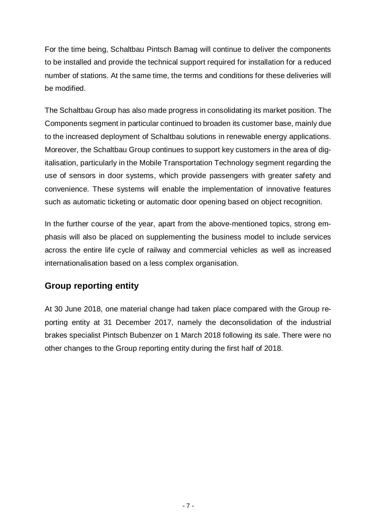For the time being, Schaltbau Pintsch Bamag will continue to deliver the components to be installed and provide the technical support required for installation for a reduced number of stations. At the same time, the terms and conditions for these deliveries will be modified.

The Schaltbau Group has also made progress in consolidating its market position. The Components segment in particular continued to broaden its customer base, mainly due to the increased deployment of Schaltbau solutions in renewable energy applications. Moreover, the Schaltbau Group continues to support key customers in the area of digitalisation, particularly in the Mobile Transportation Technology segment regarding the use of sensors in door systems, which provide passengers with greater safety and convenience. These systems will enable the implementation of innovative features such as automatic ticketing or automatic door opening based on object recognition.

In the further course of the year, apart from the above-mentioned topics, strong emphasis will also be placed on supplementing the business model to include services across the entire life cycle of railway and commercial vehicles as well as increased internationalisation based on a less complex organisation.

## **Group reporting entity**

At 30 June 2018, one material change had taken place compared with the Group reporting entity at 31 December 2017, namely the deconsolidation of the industrial brakes specialist Pintsch Bubenzer on 1 March 2018 following its sale. There were no other changes to the Group reporting entity during the first half of 2018.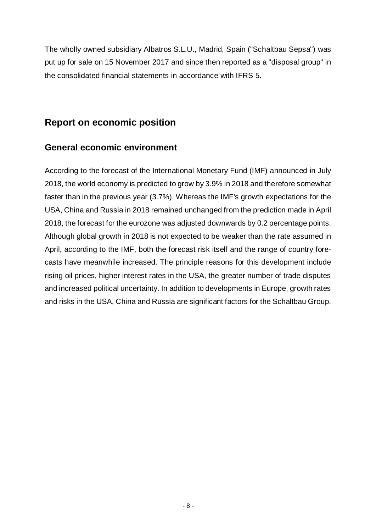The wholly owned subsidiary Albatros S.L.U., Madrid, Spain ("Schaltbau Sepsa") was put up for sale on 15 November 2017 and since then reported as a "disposal group" in the consolidated financial statements in accordance with IFRS 5.

## **Report on economic position**

## **General economic environment**

According to the forecast of the International Monetary Fund (IMF) announced in July 2018, the world economy is predicted to grow by 3.9% in 2018 and therefore somewhat faster than in the previous year (3.7%). Whereas the IMF's growth expectations for the USA, China and Russia in 2018 remained unchanged from the prediction made in April 2018, the forecast for the eurozone was adjusted downwards by 0.2 percentage points. Although global growth in 2018 is not expected to be weaker than the rate assumed in April, according to the IMF, both the forecast risk itself and the range of country forecasts have meanwhile increased. The principle reasons for this development include rising oil prices, higher interest rates in the USA, the greater number of trade disputes and increased political uncertainty. In addition to developments in Europe, growth rates and risks in the USA, China and Russia are significant factors for the Schaltbau Group.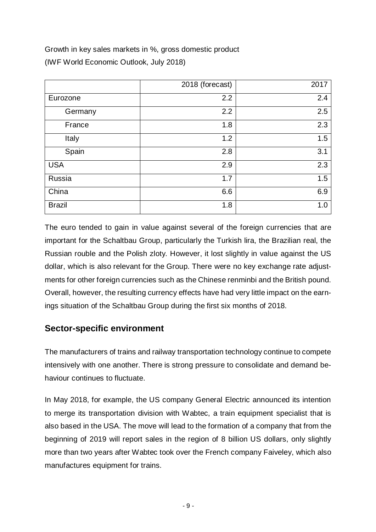Growth in key sales markets in %, gross domestic product (IWF World Economic Outlook, July 2018)

|               | 2018 (forecast) | 2017 |
|---------------|-----------------|------|
| Eurozone      | 2.2             | 2.4  |
| Germany       | 2.2             | 2.5  |
| France        | 1.8             | 2.3  |
| Italy         | 1.2             | 1.5  |
| Spain         | 2.8             | 3.1  |
| <b>USA</b>    | 2.9             | 2.3  |
| Russia        | 1.7             | 1.5  |
| China         | 6.6             | 6.9  |
| <b>Brazil</b> | 1.8             | 1.0  |

The euro tended to gain in value against several of the foreign currencies that are important for the Schaltbau Group, particularly the Turkish lira, the Brazilian real, the Russian rouble and the Polish zloty. However, it lost slightly in value against the US dollar, which is also relevant for the Group. There were no key exchange rate adjustments for other foreign currencies such as the Chinese renminbi and the British pound. Overall, however, the resulting currency effects have had very little impact on the earnings situation of the Schaltbau Group during the first six months of 2018.

## **Sector-specific environment**

The manufacturers of trains and railway transportation technology continue to compete intensively with one another. There is strong pressure to consolidate and demand behaviour continues to fluctuate.

In May 2018, for example, the US company General Electric announced its intention to merge its transportation division with Wabtec, a train equipment specialist that is also based in the USA. The move will lead to the formation of a company that from the beginning of 2019 will report sales in the region of 8 billion US dollars, only slightly more than two years after Wabtec took over the French company Faiveley, which also manufactures equipment for trains.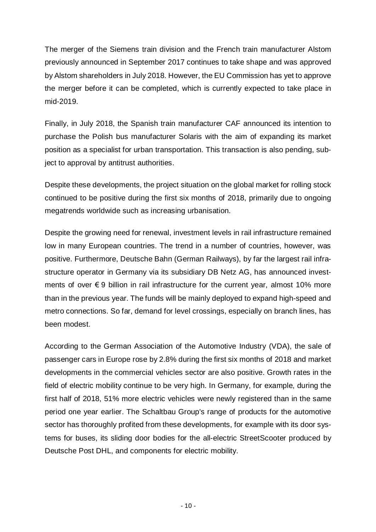The merger of the Siemens train division and the French train manufacturer Alstom previously announced in September 2017 continues to take shape and was approved by Alstom shareholders in July 2018. However, the EU Commission has yet to approve the merger before it can be completed, which is currently expected to take place in mid-2019.

Finally, in July 2018, the Spanish train manufacturer CAF announced its intention to purchase the Polish bus manufacturer Solaris with the aim of expanding its market position as a specialist for urban transportation. This transaction is also pending, subject to approval by antitrust authorities.

Despite these developments, the project situation on the global market for rolling stock continued to be positive during the first six months of 2018, primarily due to ongoing megatrends worldwide such as increasing urbanisation.

Despite the growing need for renewal, investment levels in rail infrastructure remained low in many European countries. The trend in a number of countries, however, was positive. Furthermore, Deutsche Bahn (German Railways), by far the largest rail infrastructure operator in Germany via its subsidiary DB Netz AG, has announced investments of over  $\epsilon$  9 billion in rail infrastructure for the current year, almost 10% more than in the previous year. The funds will be mainly deployed to expand high-speed and metro connections. So far, demand for level crossings, especially on branch lines, has been modest.

According to the German Association of the Automotive Industry (VDA), the sale of passenger cars in Europe rose by 2.8% during the first six months of 2018 and market developments in the commercial vehicles sector are also positive. Growth rates in the field of electric mobility continue to be very high. In Germany, for example, during the first half of 2018, 51% more electric vehicles were newly registered than in the same period one year earlier. The Schaltbau Group's range of products for the automotive sector has thoroughly profited from these developments, for example with its door systems for buses, its sliding door bodies for the all-electric StreetScooter produced by Deutsche Post DHL, and components for electric mobility.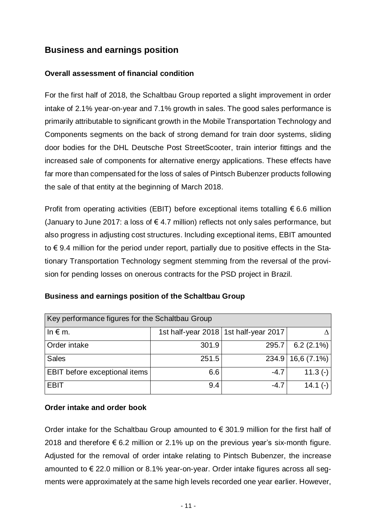## **Business and earnings position**

### **Overall assessment of financial condition**

For the first half of 2018, the Schaltbau Group reported a slight improvement in order intake of 2.1% year-on-year and 7.1% growth in sales. The good sales performance is primarily attributable to significant growth in the Mobile Transportation Technology and Components segments on the back of strong demand for train door systems, sliding door bodies for the DHL Deutsche Post StreetScooter, train interior fittings and the increased sale of components for alternative energy applications. These effects have far more than compensated for the loss of sales of Pintsch Bubenzer products following the sale of that entity at the beginning of March 2018.

Profit from operating activities (EBIT) before exceptional items totalling  $\epsilon$  6.6 million (January to June 2017: a loss of  $\epsilon$  4.7 million) reflects not only sales performance, but also progress in adjusting cost structures. Including exceptional items, EBIT amounted to € 9.4 million for the period under report, partially due to positive effects in the Stationary Transportation Technology segment stemming from the reversal of the provision for pending losses on onerous contracts for the PSD project in Brazil.

| Key performance figures for the Schaltbau Group |       |                                         |                     |  |  |
|-------------------------------------------------|-------|-----------------------------------------|---------------------|--|--|
| In $\notin$ m.                                  |       | 1st half-year 2018   1st half-year 2017 |                     |  |  |
| Order intake                                    | 301.9 | 295.7                                   | 6.2 $(2.1\%)$       |  |  |
| <b>Sales</b>                                    | 251.5 |                                         | $234.9$ 16,6 (7.1%) |  |  |
| EBIT before exceptional items                   | 6.6   | $-4.7$                                  | 11.3 $(-)$          |  |  |
| <b>EBIT</b>                                     | 9.4   | $-4.7$                                  | 14.1 $(-)$          |  |  |

### **Business and earnings position of the Schaltbau Group**

### **Order intake and order book**

Order intake for the Schaltbau Group amounted to  $\epsilon$  301.9 million for the first half of 2018 and therefore  $\epsilon$  6.2 million or 2.1% up on the previous year's six-month figure. Adjusted for the removal of order intake relating to Pintsch Bubenzer, the increase amounted to € 22.0 million or 8.1% year-on-year. Order intake figures across all segments were approximately at the same high levels recorded one year earlier. However,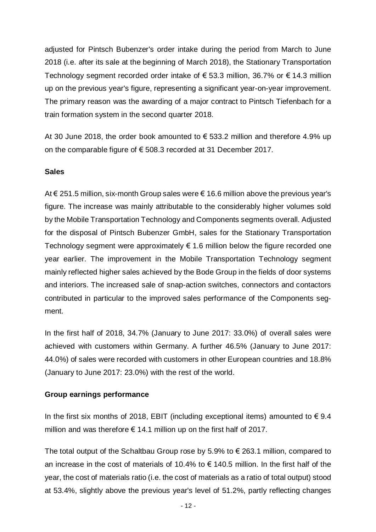adjusted for Pintsch Bubenzer's order intake during the period from March to June 2018 (i.e. after its sale at the beginning of March 2018), the Stationary Transportation Technology segment recorded order intake of € 53.3 million, 36.7% or € 14.3 million up on the previous year's figure, representing a significant year-on-year improvement. The primary reason was the awarding of a major contract to Pintsch Tiefenbach for a train formation system in the second quarter 2018.

At 30 June 2018, the order book amounted to  $\epsilon$  533.2 million and therefore 4.9% up on the comparable figure of € 508.3 recorded at 31 December 2017.

### **Sales**

At € 251.5 million, six-month Group sales were € 16.6 million above the previous year's figure. The increase was mainly attributable to the considerably higher volumes sold by the Mobile Transportation Technology and Components segments overall. Adjusted for the disposal of Pintsch Bubenzer GmbH, sales for the Stationary Transportation Technology segment were approximately  $\epsilon$  1.6 million below the figure recorded one year earlier. The improvement in the Mobile Transportation Technology segment mainly reflected higher sales achieved by the Bode Group in the fields of door systems and interiors. The increased sale of snap-action switches, connectors and contactors contributed in particular to the improved sales performance of the Components segment.

In the first half of 2018, 34.7% (January to June 2017: 33.0%) of overall sales were achieved with customers within Germany. A further 46.5% (January to June 2017: 44.0%) of sales were recorded with customers in other European countries and 18.8% (January to June 2017: 23.0%) with the rest of the world.

#### **Group earnings performance**

In the first six months of 2018, EBIT (including exceptional items) amounted to  $\epsilon$  9.4 million and was therefore  $\epsilon$  14.1 million up on the first half of 2017.

The total output of the Schaltbau Group rose by 5.9% to  $\epsilon$  263.1 million, compared to an increase in the cost of materials of 10.4% to  $\epsilon$  140.5 million. In the first half of the year, the cost of materials ratio (i.e. the cost of materials as a ratio of total output) stood at 53.4%, slightly above the previous year's level of 51.2%, partly reflecting changes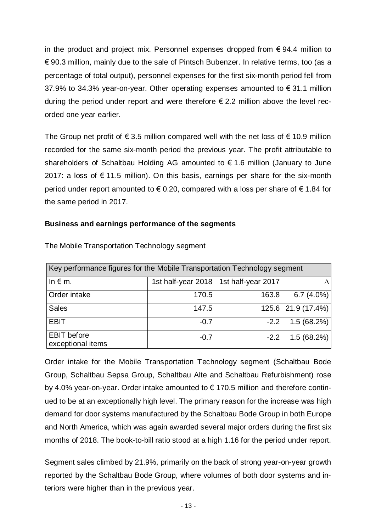in the product and project mix. Personnel expenses dropped from  $\epsilon$  94.4 million to € 90.3 million, mainly due to the sale of Pintsch Bubenzer. In relative terms, too (as a percentage of total output), personnel expenses for the first six-month period fell from 37.9% to 34.3% year-on-year. Other operating expenses amounted to € 31.1 million during the period under report and were therefore  $\epsilon$  2.2 million above the level recorded one year earlier.

The Group net profit of  $\epsilon$  3.5 million compared well with the net loss of  $\epsilon$  10.9 million recorded for the same six-month period the previous year. The profit attributable to shareholders of Schaltbau Holding AG amounted to € 1.6 million (January to June 2017: a loss of  $\epsilon$  11.5 million). On this basis, earnings per share for the six-month period under report amounted to  $\epsilon$  0.20, compared with a loss per share of  $\epsilon$  1.84 for the same period in 2017.

### **Business and earnings performance of the segments**

| Key performance figures for the Mobile Transportation Technology segment |                    |                    |              |  |
|--------------------------------------------------------------------------|--------------------|--------------------|--------------|--|
| In $\notin$ m.                                                           | 1st half-year 2018 | 1st half-year 2017 |              |  |
| Order intake                                                             | 170.5              | 163.8              | $6.7(4.0\%)$ |  |
| <b>Sales</b>                                                             | 147.5              | 125.6              | 21.9 (17.4%) |  |
| <b>EBIT</b>                                                              | $-0.7$             | $-2.2$             | 1.5(68.2%)   |  |
| <b>EBIT</b> before<br>exceptional items                                  | $-0.7$             | $-2.2$             | 1.5(68.2%)   |  |

The Mobile Transportation Technology segment

Order intake for the Mobile Transportation Technology segment (Schaltbau Bode Group, Schaltbau Sepsa Group, Schaltbau Alte and Schaltbau Refurbishment) rose by 4.0% year-on-year. Order intake amounted to € 170.5 million and therefore continued to be at an exceptionally high level. The primary reason for the increase was high demand for door systems manufactured by the Schaltbau Bode Group in both Europe and North America, which was again awarded several major orders during the first six months of 2018. The book-to-bill ratio stood at a high 1.16 for the period under report.

Segment sales climbed by 21.9%, primarily on the back of strong year-on-year growth reported by the Schaltbau Bode Group, where volumes of both door systems and interiors were higher than in the previous year.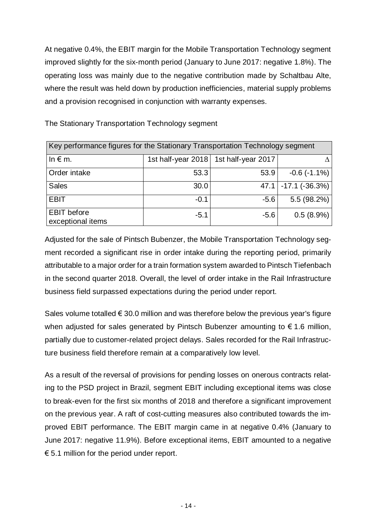At negative 0.4%, the EBIT margin for the Mobile Transportation Technology segment improved slightly for the six-month period (January to June 2017: negative 1.8%). The operating loss was mainly due to the negative contribution made by Schaltbau Alte, where the result was held down by production inefficiencies, material supply problems and a provision recognised in conjunction with warranty expenses.

| Key performance figures for the Stationary Transportation Technology segment |                    |                    |                       |  |
|------------------------------------------------------------------------------|--------------------|--------------------|-----------------------|--|
| In $\notin$ m.                                                               | 1st half-year 2018 | 1st half-year 2017 |                       |  |
| Order intake                                                                 | 53.3               | 53.9               | $-0.6$ $(-1.1\%)$     |  |
| <b>Sales</b>                                                                 | 30.0               | 47.1               | $-17.1$ ( $-36.3\%$ ) |  |
| <b>EBIT</b>                                                                  | $-0.1$             | $-5.6$             | 5.5(98.2%)            |  |
| <b>EBIT</b> before<br>exceptional items                                      | $-5.1$             | $-5.6$             | 0.5(8.9%)             |  |

The Stationary Transportation Technology segment

Adjusted for the sale of Pintsch Bubenzer, the Mobile Transportation Technology segment recorded a significant rise in order intake during the reporting period, primarily attributable to a major order for a train formation system awarded to Pintsch Tiefenbach in the second quarter 2018. Overall, the level of order intake in the Rail Infrastructure business field surpassed expectations during the period under report.

Sales volume totalled  $\epsilon$  30.0 million and was therefore below the previous year's figure when adjusted for sales generated by Pintsch Bubenzer amounting to  $\epsilon$  1.6 million, partially due to customer-related project delays. Sales recorded for the Rail Infrastructure business field therefore remain at a comparatively low level.

As a result of the reversal of provisions for pending losses on onerous contracts relating to the PSD project in Brazil, segment EBIT including exceptional items was close to break-even for the first six months of 2018 and therefore a significant improvement on the previous year. A raft of cost-cutting measures also contributed towards the improved EBIT performance. The EBIT margin came in at negative 0.4% (January to June 2017: negative 11.9%). Before exceptional items, EBIT amounted to a negative  $\epsilon$  5.1 million for the period under report.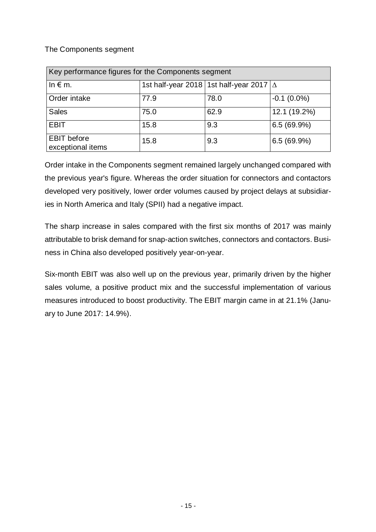### The Components segment

| Key performance figures for the Components segment |      |                                                  |               |  |  |
|----------------------------------------------------|------|--------------------------------------------------|---------------|--|--|
| In $\notin$ m.                                     |      | 1st half-year 2018   1st half-year 2017 $\Delta$ |               |  |  |
| Order intake                                       | 77.9 | 78.0                                             | $-0.1(0.0\%)$ |  |  |
| <b>Sales</b>                                       | 75.0 | 62.9                                             | 12.1 (19.2%)  |  |  |
| <b>EBIT</b>                                        | 15.8 | 9.3                                              | 6.5(69.9%)    |  |  |
| <b>EBIT</b> before<br>exceptional items            | 15.8 | 9.3                                              | 6.5(69.9%)    |  |  |

Order intake in the Components segment remained largely unchanged compared with the previous year's figure. Whereas the order situation for connectors and contactors developed very positively, lower order volumes caused by project delays at subsidiaries in North America and Italy (SPII) had a negative impact.

The sharp increase in sales compared with the first six months of 2017 was mainly attributable to brisk demand for snap-action switches, connectors and contactors. Business in China also developed positively year-on-year.

Six-month EBIT was also well up on the previous year, primarily driven by the higher sales volume, a positive product mix and the successful implementation of various measures introduced to boost productivity. The EBIT margin came in at 21.1% (January to June 2017: 14.9%).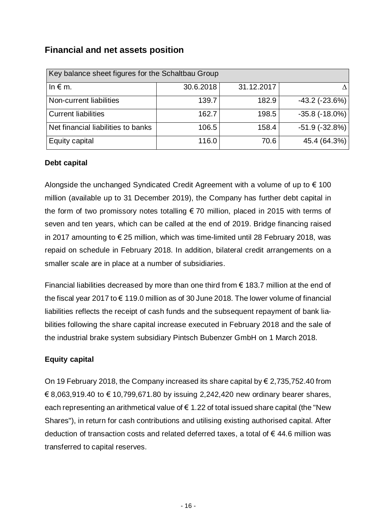## **Financial and net assets position**

| Key balance sheet figures for the Schaltbau Group |           |            |                       |  |  |
|---------------------------------------------------|-----------|------------|-----------------------|--|--|
| In $\epsilon$ m.                                  | 30.6.2018 | 31.12.2017 |                       |  |  |
| Non-current liabilities                           | 139.7     | 182.9      | $-43.2$ ( $-23.6\%$ ) |  |  |
| <b>Current liabilities</b>                        | 162.7     | 198.5      | $-35.8(-18.0\%)$      |  |  |
| Net financial liabilities to banks                | 106.5     | 158.4      | $-51.9(-32.8%)$       |  |  |
| Equity capital                                    | 116.0     | 70.6       | 45.4 (64.3%)          |  |  |

### **Debt capital**

Alongside the unchanged Syndicated Credit Agreement with a volume of up to  $\epsilon$  100 million (available up to 31 December 2019), the Company has further debt capital in the form of two promissory notes totalling  $\epsilon$  70 million, placed in 2015 with terms of seven and ten years, which can be called at the end of 2019. Bridge financing raised in 2017 amounting to € 25 million, which was time-limited until 28 February 2018, was repaid on schedule in February 2018. In addition, bilateral credit arrangements on a smaller scale are in place at a number of subsidiaries.

Financial liabilities decreased by more than one third from  $\epsilon$  183.7 million at the end of the fiscal year 2017 to € 119.0 million as of 30 June 2018. The lower volume of financial liabilities reflects the receipt of cash funds and the subsequent repayment of bank liabilities following the share capital increase executed in February 2018 and the sale of the industrial brake system subsidiary Pintsch Bubenzer GmbH on 1 March 2018.

### **Equity capital**

On 19 February 2018, the Company increased its share capital by  $\epsilon$  2,735,752.40 from € 8,063,919.40 to € 10,799,671.80 by issuing 2,242,420 new ordinary bearer shares, each representing an arithmetical value of  $\epsilon$  1.22 of total issued share capital (the "New Shares"), in return for cash contributions and utilising existing authorised capital. After deduction of transaction costs and related deferred taxes, a total of  $\epsilon$  44.6 million was transferred to capital reserves.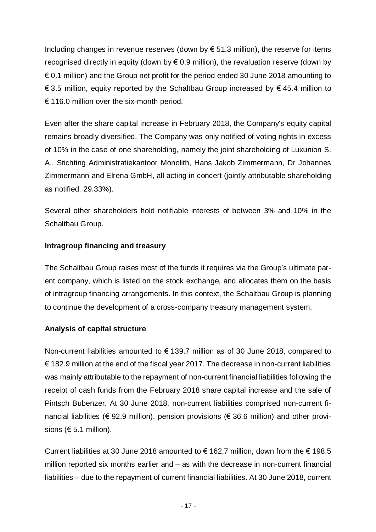Including changes in revenue reserves (down by  $\epsilon$  51.3 million), the reserve for items recognised directly in equity (down by  $\epsilon$  0.9 million), the revaluation reserve (down by  $\epsilon$  0.1 million) and the Group net profit for the period ended 30 June 2018 amounting to  $€ 3.5$  million, equity reported by the Schaltbau Group increased by  $€ 45.4$  million to  $\epsilon$  116.0 million over the six-month period.

Even after the share capital increase in February 2018, the Company's equity capital remains broadly diversified. The Company was only notified of voting rights in excess of 10% in the case of one shareholding, namely the joint shareholding of Luxunion S. A., Stichting Administratiekantoor Monolith, Hans Jakob Zimmermann, Dr Johannes Zimmermann and Elrena GmbH, all acting in concert (jointly attributable shareholding as notified: 29.33%).

Several other shareholders hold notifiable interests of between 3% and 10% in the Schaltbau Group.

### **Intragroup financing and treasury**

The Schaltbau Group raises most of the funds it requires via the Group's ultimate parent company, which is listed on the stock exchange, and allocates them on the basis of intragroup financing arrangements. In this context, the Schaltbau Group is planning to continue the development of a cross-company treasury management system.

### **Analysis of capital structure**

Non-current liabilities amounted to  $\epsilon$  139.7 million as of 30 June 2018, compared to  $\epsilon$  182.9 million at the end of the fiscal year 2017. The decrease in non-current liabilities was mainly attributable to the repayment of non-current financial liabilities following the receipt of cash funds from the February 2018 share capital increase and the sale of Pintsch Bubenzer. At 30 June 2018, non-current liabilities comprised non-current financial liabilities ( $\epsilon$  92.9 million), pension provisions ( $\epsilon$  36.6 million) and other provisions ( $65.1$  million).

Current liabilities at 30 June 2018 amounted to  $\epsilon$  162.7 million, down from the  $\epsilon$  198.5 million reported six months earlier and – as with the decrease in non-current financial liabilities – due to the repayment of current financial liabilities. At 30 June 2018, current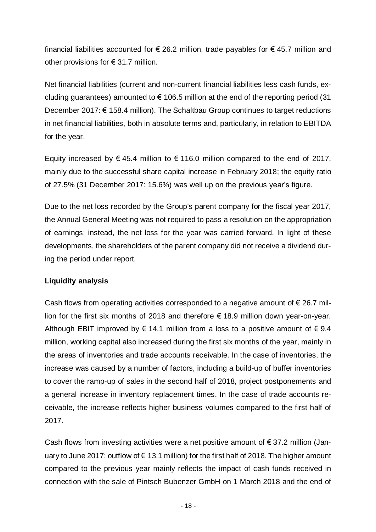financial liabilities accounted for € 26.2 million, trade payables for € 45.7 million and other provisions for  $\epsilon$  31.7 million.

Net financial liabilities (current and non-current financial liabilities less cash funds, excluding guarantees) amounted to  $\epsilon$  106.5 million at the end of the reporting period (31 December 2017: € 158.4 million). The Schaltbau Group continues to target reductions in net financial liabilities, both in absolute terms and, particularly, in relation to EBITDA for the year.

Equity increased by  $\epsilon$  45.4 million to  $\epsilon$  116.0 million compared to the end of 2017, mainly due to the successful share capital increase in February 2018; the equity ratio of 27.5% (31 December 2017: 15.6%) was well up on the previous year's figure.

Due to the net loss recorded by the Group's parent company for the fiscal year 2017, the Annual General Meeting was not required to pass a resolution on the appropriation of earnings; instead, the net loss for the year was carried forward. In light of these developments, the shareholders of the parent company did not receive a dividend during the period under report.

#### **Liquidity analysis**

Cash flows from operating activities corresponded to a negative amount of  $\epsilon$  26.7 million for the first six months of 2018 and therefore  $\epsilon$  18.9 million down year-on-year. Although EBIT improved by  $\epsilon$  14.1 million from a loss to a positive amount of  $\epsilon$  9.4 million, working capital also increased during the first six months of the year, mainly in the areas of inventories and trade accounts receivable. In the case of inventories, the increase was caused by a number of factors, including a build-up of buffer inventories to cover the ramp-up of sales in the second half of 2018, project postponements and a general increase in inventory replacement times. In the case of trade accounts receivable, the increase reflects higher business volumes compared to the first half of 2017.

Cash flows from investing activities were a net positive amount of  $\epsilon$  37.2 million (January to June 2017: outflow of  $\epsilon$  13.1 million) for the first half of 2018. The higher amount compared to the previous year mainly reflects the impact of cash funds received in connection with the sale of Pintsch Bubenzer GmbH on 1 March 2018 and the end of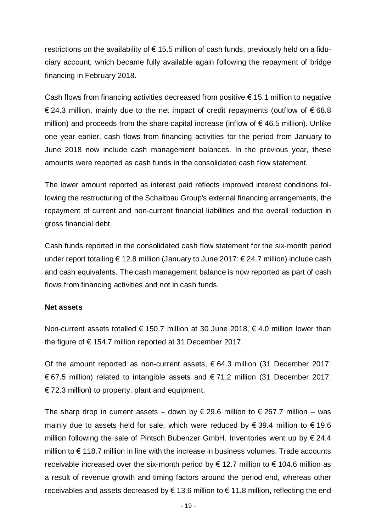restrictions on the availability of  $\epsilon$  15.5 million of cash funds, previously held on a fiduciary account, which became fully available again following the repayment of bridge financing in February 2018.

Cash flows from financing activities decreased from positive  $\epsilon$  15.1 million to negative € 24.3 million, mainly due to the net impact of credit repayments (outflow of € 68.8 million) and proceeds from the share capital increase (inflow of  $\epsilon$  46.5 million). Unlike one year earlier, cash flows from financing activities for the period from January to June 2018 now include cash management balances. In the previous year, these amounts were reported as cash funds in the consolidated cash flow statement.

The lower amount reported as interest paid reflects improved interest conditions following the restructuring of the Schaltbau Group's external financing arrangements, the repayment of current and non-current financial liabilities and the overall reduction in gross financial debt.

Cash funds reported in the consolidated cash flow statement for the six-month period under report totalling € 12.8 million (January to June 2017: € 24.7 million) include cash and cash equivalents. The cash management balance is now reported as part of cash flows from financing activities and not in cash funds.

#### **Net assets**

Non-current assets totalled  $\epsilon$  150.7 million at 30 June 2018,  $\epsilon$  4.0 million lower than the figure of  $\epsilon$  154.7 million reported at 31 December 2017.

Of the amount reported as non-current assets,  $\epsilon$  64.3 million (31 December 2017: € 67.5 million) related to intangible assets and € 71.2 million (31 December 2017:  $\in$  72.3 million) to property, plant and equipment.

The sharp drop in current assets – down by  $\epsilon$  29.6 million to  $\epsilon$  267.7 million – was mainly due to assets held for sale, which were reduced by  $\epsilon$  39.4 million to  $\epsilon$  19.6 million following the sale of Pintsch Bubenzer GmbH. Inventories went up by  $\epsilon$  24.4 million to € 118.7 million in line with the increase in business volumes. Trade accounts receivable increased over the six-month period by  $\epsilon$  12.7 million to  $\epsilon$  104.6 million as a result of revenue growth and timing factors around the period end, whereas other receivables and assets decreased by  $\epsilon$  13.6 million to  $\epsilon$  11.8 million, reflecting the end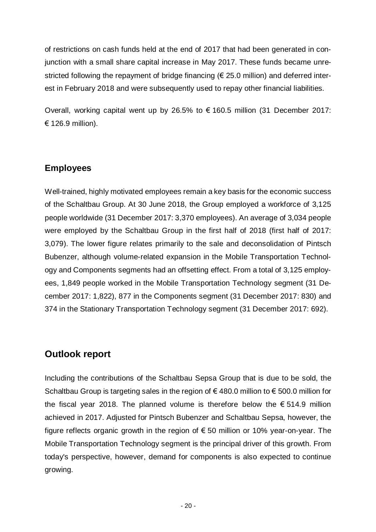of restrictions on cash funds held at the end of 2017 that had been generated in conjunction with a small share capital increase in May 2017. These funds became unrestricted following the repayment of bridge financing ( $\epsilon$  25.0 million) and deferred interest in February 2018 and were subsequently used to repay other financial liabilities.

Overall, working capital went up by 26.5% to € 160.5 million (31 December 2017: € 126.9 million).

## **Employees**

Well-trained, highly motivated employees remain a key basis for the economic success of the Schaltbau Group. At 30 June 2018, the Group employed a workforce of 3,125 people worldwide (31 December 2017: 3,370 employees). An average of 3,034 people were employed by the Schaltbau Group in the first half of 2018 (first half of 2017: 3,079). The lower figure relates primarily to the sale and deconsolidation of Pintsch Bubenzer, although volume-related expansion in the Mobile Transportation Technology and Components segments had an offsetting effect. From a total of 3,125 employees, 1,849 people worked in the Mobile Transportation Technology segment (31 December 2017: 1,822), 877 in the Components segment (31 December 2017: 830) and 374 in the Stationary Transportation Technology segment (31 December 2017: 692).

## **Outlook report**

Including the contributions of the Schaltbau Sepsa Group that is due to be sold, the Schaltbau Group is targeting sales in the region of €480.0 million to €500.0 million for the fiscal year 2018. The planned volume is therefore below the  $\epsilon$  514.9 million achieved in 2017. Adjusted for Pintsch Bubenzer and Schaltbau Sepsa, however, the figure reflects organic growth in the region of  $\epsilon$  50 million or 10% year-on-year. The Mobile Transportation Technology segment is the principal driver of this growth. From today's perspective, however, demand for components is also expected to continue growing.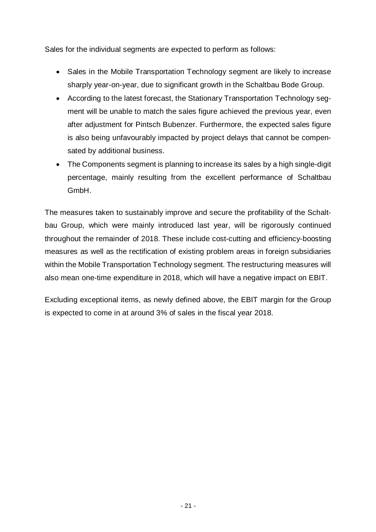Sales for the individual segments are expected to perform as follows:

- Sales in the Mobile Transportation Technology segment are likely to increase sharply year-on-year, due to significant growth in the Schaltbau Bode Group.
- According to the latest forecast, the Stationary Transportation Technology segment will be unable to match the sales figure achieved the previous year, even after adjustment for Pintsch Bubenzer. Furthermore, the expected sales figure is also being unfavourably impacted by project delays that cannot be compensated by additional business.
- The Components segment is planning to increase its sales by a high single-digit percentage, mainly resulting from the excellent performance of Schaltbau GmbH.

The measures taken to sustainably improve and secure the profitability of the Schaltbau Group, which were mainly introduced last year, will be rigorously continued throughout the remainder of 2018. These include cost-cutting and efficiency-boosting measures as well as the rectification of existing problem areas in foreign subsidiaries within the Mobile Transportation Technology segment. The restructuring measures will also mean one-time expenditure in 2018, which will have a negative impact on EBIT.

Excluding exceptional items, as newly defined above, the EBIT margin for the Group is expected to come in at around 3% of sales in the fiscal year 2018.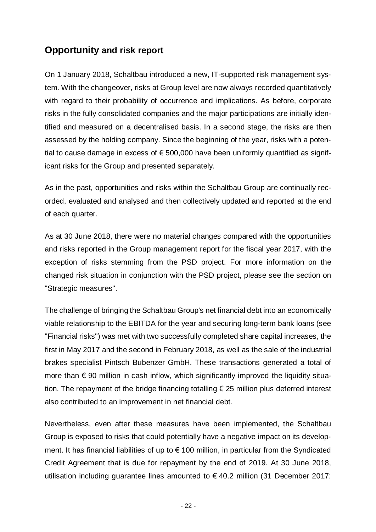## **Opportunity and risk report**

On 1 January 2018, Schaltbau introduced a new, IT-supported risk management system. With the changeover, risks at Group level are now always recorded quantitatively with regard to their probability of occurrence and implications. As before, corporate risks in the fully consolidated companies and the major participations are initially identified and measured on a decentralised basis. In a second stage, the risks are then assessed by the holding company. Since the beginning of the year, risks with a potential to cause damage in excess of  $\epsilon$  500,000 have been uniformly quantified as significant risks for the Group and presented separately.

As in the past, opportunities and risks within the Schaltbau Group are continually recorded, evaluated and analysed and then collectively updated and reported at the end of each quarter.

As at 30 June 2018, there were no material changes compared with the opportunities and risks reported in the Group management report for the fiscal year 2017, with the exception of risks stemming from the PSD project. For more information on the changed risk situation in conjunction with the PSD project, please see the section on "Strategic measures".

The challenge of bringing the Schaltbau Group's net financial debt into an economically viable relationship to the EBITDA for the year and securing long-term bank loans (see "Financial risks") was met with two successfully completed share capital increases, the first in May 2017 and the second in February 2018, as well as the sale of the industrial brakes specialist Pintsch Bubenzer GmbH. These transactions generated a total of more than  $\epsilon$  90 million in cash inflow, which significantly improved the liquidity situation. The repayment of the bridge financing totalling  $\epsilon$  25 million plus deferred interest also contributed to an improvement in net financial debt.

Nevertheless, even after these measures have been implemented, the Schaltbau Group is exposed to risks that could potentially have a negative impact on its development. It has financial liabilities of up to  $\epsilon$  100 million, in particular from the Syndicated Credit Agreement that is due for repayment by the end of 2019. At 30 June 2018, utilisation including guarantee lines amounted to  $\epsilon$  40.2 million (31 December 2017: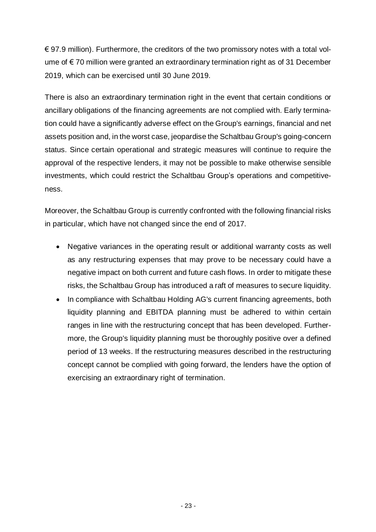€ 97.9 million). Furthermore, the creditors of the two promissory notes with a total volume of € 70 million were granted an extraordinary termination right as of 31 December 2019, which can be exercised until 30 June 2019.

There is also an extraordinary termination right in the event that certain conditions or ancillary obligations of the financing agreements are not complied with. Early termination could have a significantly adverse effect on the Group's earnings, financial and net assets position and, in the worst case, jeopardise the Schaltbau Group's going-concern status. Since certain operational and strategic measures will continue to require the approval of the respective lenders, it may not be possible to make otherwise sensible investments, which could restrict the Schaltbau Group's operations and competitiveness.

Moreover, the Schaltbau Group is currently confronted with the following financial risks in particular, which have not changed since the end of 2017.

- Negative variances in the operating result or additional warranty costs as well as any restructuring expenses that may prove to be necessary could have a negative impact on both current and future cash flows. In order to mitigate these risks, the Schaltbau Group has introduced a raft of measures to secure liquidity.
- In compliance with Schaltbau Holding AG's current financing agreements, both liquidity planning and EBITDA planning must be adhered to within certain ranges in line with the restructuring concept that has been developed. Furthermore, the Group's liquidity planning must be thoroughly positive over a defined period of 13 weeks. If the restructuring measures described in the restructuring concept cannot be complied with going forward, the lenders have the option of exercising an extraordinary right of termination.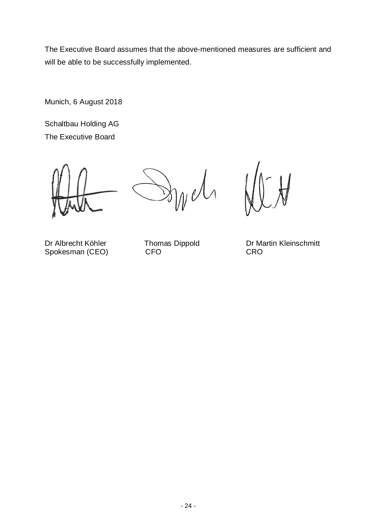The Executive Board assumes that the above-mentioned measures are sufficient and will be able to be successfully implemented.

Munich, 6 August 2018

Schaltbau Holding AG The Executive Board

 $ln \nu$ 

Spokesman (CEO)

Dr Albrecht Köhler Thomas Dippold Dr Martin Kleinschmitt<br>
Spokesman (CEO) CFO CFO CRO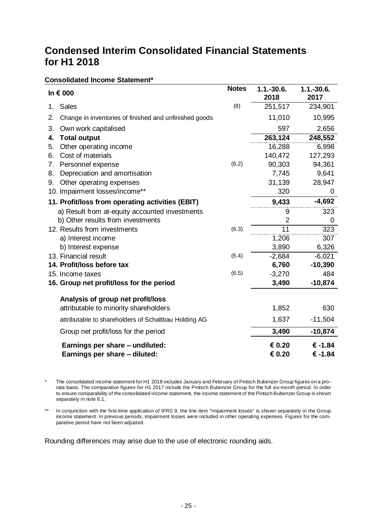## **Condensed Interim Consolidated Financial Statements for H1 2018**

#### **Consolidated Income Statement\***

|    | In € 000                                               | <b>Notes</b> | $1.1.-30.6.$<br>2018 | $1.1.-30.6.$<br>2017 |
|----|--------------------------------------------------------|--------------|----------------------|----------------------|
| 1. | <b>Sales</b>                                           | (8)          | 251,517              | 234,901              |
| 2. | Change in inventories of finished and unfinished goods |              | 11,010               | 10,995               |
| 3. | Own work capitalised                                   |              | 597                  | 2,656                |
| 4. | <b>Total output</b>                                    |              | 263, 124             | 248,552              |
| 5. | Other operating income                                 |              | 16,288               | 6,998                |
| 6. | Cost of materials                                      |              | 140,472              | 127,293              |
| 7. | Personnel expense                                      | (6.2)        | 90,303               | 94,361               |
| 8. | Depreciation and amortisation                          |              | 7,745                | 9,641                |
| 9. | Other operating expenses                               |              | 31,139               | 28,947               |
|    | 10. Impairment losses/income**                         |              | 320                  | 0                    |
|    | 11. Profit/loss from operating activities (EBIT)       |              | 9,433                | $-4,692$             |
|    | a) Result from at-equity accounted investments         |              | 9                    | 323                  |
|    | b) Other results from investments                      |              | $\overline{2}$       | 0                    |
|    | 12. Results from investments                           | (6.3)        | 11                   | 323                  |
|    | a) Interest income                                     |              | 1,206                | 307                  |
|    | b) Interest expense                                    |              | 3,890                | 6,326                |
|    | 13. Financial result                                   | (6.4)        | $-2,684$             | $-6,021$             |
|    | 14. Profit/loss before tax                             |              | 6,760                | $-10,390$            |
|    | 15. Income taxes                                       | (6.5)        | $-3,270$             | 484                  |
|    | 16. Group net profit/loss for the period               |              | 3,490                | $-10,874$            |
|    | Analysis of group net profit/loss                      |              |                      |                      |
|    | attributable to minority shareholders                  |              | 1,852                | 630                  |
|    | attributable to shareholders of Schaltbau Holding AG   |              | 1,637                | $-11,504$            |
|    | Group net profit/loss for the period                   |              | 3,490                | $-10,874$            |
|    | Earnings per share - undiluted:                        |              | € 0.20               | € -1.84              |
|    | Earnings per share - diluted:                          |              | € 0.20               | € -1.84              |

The consolidated income statement for H1 2018 includes January and February of Pintsch Bubenzer Group figures on a prorata basis. The comparative figures for H1 2017 include the Pintsch Bubenzer Group for the full six-month period. In order to ensure comparability of the consolidated income statement, the income statement of the Pintsch Bubenzer Group is shown separately in note 6.1.

\*\* In conjunction with the first-time application of IFRS 9, the line item "Impairment losses" is shown separately in the Group income statement. In previous periods, impairment losses were included in other operating expenses. Figures for the comparative period have not been adjusted.

Rounding differences may arise due to the use of electronic rounding aids.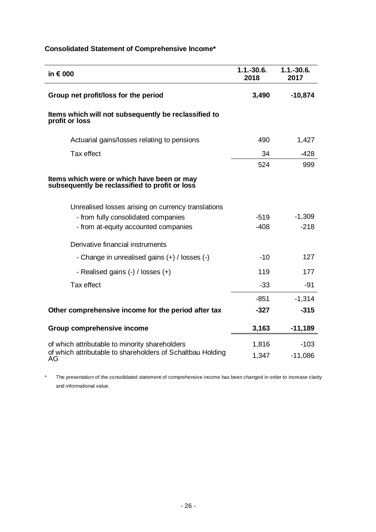| in $\epsilon$ 000                                                                            | $1.1 - 30.6$ .<br>2018 | $1.1 - 30.6$ .<br>2017 |
|----------------------------------------------------------------------------------------------|------------------------|------------------------|
| Group net profit/loss for the period                                                         | 3,490                  | $-10,874$              |
| Items which will not subsequently be reclassified to<br>profit or loss                       |                        |                        |
| Actuarial gains/losses relating to pensions                                                  | 490                    | 1,427                  |
| Tax effect                                                                                   | 34                     | $-428$                 |
|                                                                                              | 524                    | 999                    |
| Items which were or which have been or may<br>subsequently be reclassified to profit or loss |                        |                        |
| Unrealised losses arising on currency translations                                           |                        |                        |
| - from fully consolidated companies                                                          | $-519$                 | $-1,309$               |
| - from at-equity accounted companies                                                         | $-408$                 | $-218$                 |
| Derivative financial instruments                                                             |                        |                        |
| - Change in unrealised gains (+) / losses (-)                                                | $-10$                  | 127                    |
| - Realised gains (-) / losses (+)                                                            | 119                    | 177                    |
| Tax effect                                                                                   | $-33$                  | $-91$                  |
|                                                                                              | $-851$                 | $-1,314$               |
| Other comprehensive income for the period after tax                                          | $-327$                 | $-315$                 |
| Group comprehensive income                                                                   | 3,163                  | $-11,189$              |
| of which attributable to minority shareholders                                               | 1,816                  | $-103$                 |
| of which attributable to shareholders of Schaltbau Holding<br>AG                             | 1,347                  | $-11,086$              |

## **Consolidated Statement of Comprehensive Income\***

\* The presentation of the consolidated statement of comprehensive income has been changed in order to increase clarity and informational value.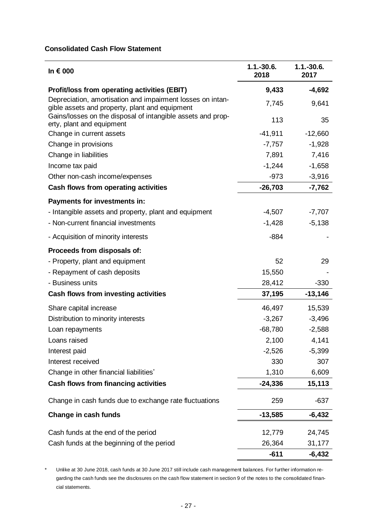#### **Consolidated Cash Flow Statement**

| In $\epsilon$ 000                                                                                            | $1.1.-30.6.$<br>2018 | $1.1.-30.6.$<br>2017 |
|--------------------------------------------------------------------------------------------------------------|----------------------|----------------------|
| <b>Profit/loss from operating activities (EBIT)</b>                                                          | 9,433                | $-4,692$             |
| Depreciation, amortisation and impairment losses on intan-<br>gible assets and property, plant and equipment | 7,745                | 9,641                |
| Gains/losses on the disposal of intangible assets and prop-<br>erty, plant and equipment                     | 113                  | 35                   |
| Change in current assets                                                                                     | $-41,911$            | $-12,660$            |
| Change in provisions                                                                                         | $-7,757$             | $-1,928$             |
| Change in liabilities                                                                                        | 7,891                | 7,416                |
| Income tax paid                                                                                              | $-1,244$             | $-1,658$             |
| Other non-cash income/expenses                                                                               | $-973$               | $-3,916$             |
| <b>Cash flows from operating activities</b>                                                                  | $-26,703$            | $-7,762$             |
| Payments for investments in:                                                                                 |                      |                      |
| - Intangible assets and property, plant and equipment                                                        | $-4,507$             | $-7,707$             |
| - Non-current financial investments                                                                          | $-1,428$             | $-5,138$             |
| - Acquisition of minority interests                                                                          | $-884$               |                      |
| Proceeds from disposals of:                                                                                  |                      |                      |
| - Property, plant and equipment                                                                              | 52                   | 29                   |
| - Repayment of cash deposits                                                                                 | 15,550               |                      |
| - Business units                                                                                             | 28,412               | $-330$               |
| Cash flows from investing activities                                                                         | 37,195               | $-13,146$            |
| Share capital increase                                                                                       | 46,497               | 15,539               |
| Distribution to minority interests                                                                           | $-3,267$             | $-3,496$             |
| Loan repayments                                                                                              | $-68,780$            | $-2,588$             |
| Loans raised                                                                                                 | 2,100                | 4,141                |
| Interest paid                                                                                                | $-2,526$             | $-5,399$             |
| Interest received                                                                                            | 330                  | 307                  |
| Change in other financial liabilities*                                                                       | 1,310                | 6,609                |
| Cash flows from financing activities                                                                         | $-24,336$            | 15,113               |
| Change in cash funds due to exchange rate fluctuations                                                       | 259                  | -637                 |
| Change in cash funds                                                                                         | $-13,585$            | $-6,432$             |
| Cash funds at the end of the period                                                                          | 12,779               | 24,745               |
| Cash funds at the beginning of the period                                                                    | 26,364               | 31,177               |
|                                                                                                              | $-611$               | -6,432               |

\* Unlike at 30 June 2018, cash funds at 30 June 2017 still include cash management balances. For further information regarding the cash funds see the disclosures on the cash flow statement in section 9 of the notes to the consolidated financial statements.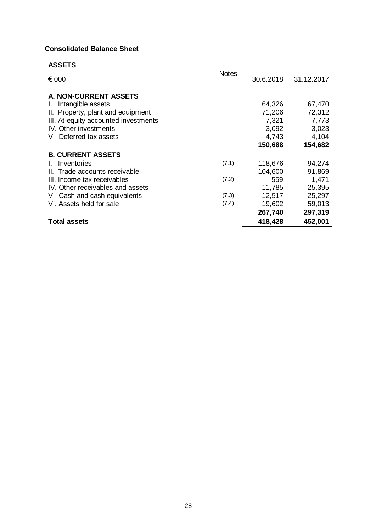#### **Consolidated Balance Sheet**

| <b>ASSETS</b>                        |              |           |            |
|--------------------------------------|--------------|-----------|------------|
| € 000                                | <b>Notes</b> | 30.6.2018 | 31.12.2017 |
| A. NON-CURRENT ASSETS                |              |           |            |
| Intangible assets<br>L.              |              | 64,326    | 67,470     |
| II. Property, plant and equipment    |              | 71,206    | 72,312     |
| III. At-equity accounted investments |              | 7,321     | 7,773      |
| IV. Other investments                |              | 3,092     | 3,023      |
| V. Deferred tax assets               |              | 4,743     | 4,104      |
|                                      |              | 150,688   | 154,682    |
| <b>B. CURRENT ASSETS</b>             |              |           |            |
| Inventories                          | (7.1)        | 118,676   | 94,274     |
| II. Trade accounts receivable        |              | 104,600   | 91,869     |
| III. Income tax receivables          | (7.2)        | 559       | 1,471      |
| IV. Other receivables and assets     |              | 11,785    | 25,395     |
| V. Cash and cash equivalents         | (7.3)        | 12,517    | 25,297     |
| VI. Assets held for sale             | (7.4)        | 19,602    | 59,013     |
|                                      |              | 267,740   | 297,319    |
| <b>Total assets</b>                  |              | 418,428   | 452,001    |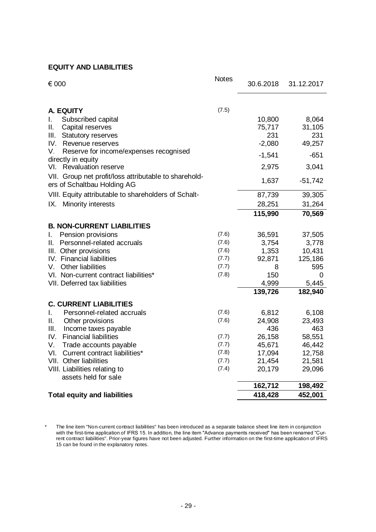### **EQUITY AND LIABILITIES**

| (7.5)<br>A. EQUITY<br>Subscribed capital<br>10,800<br>8,064<br>I.<br>75,717<br>31,105<br>Capital reserves<br>Ш.<br>231<br>231<br>Ш.<br><b>Statutory reserves</b><br>49,257<br>IV.<br>$-2,080$<br>Revenue reserves<br>V.<br>Reserve for income/expenses recognised<br>$-1,541$<br>$-651$<br>directly in equity<br><b>Revaluation reserve</b><br>2,975<br>3,041<br>VI.<br>VII. Group net profit/loss attributable to sharehold-<br>1,637<br>$-51,742$<br>ers of Schaltbau Holding AG<br>VIII. Equity attributable to shareholders of Schalt-<br>87,739<br>39,305<br>28,251<br>31,264<br>Minority interests<br>IX.<br>115,990<br>70,569<br><b>B. NON-CURRENT LIABILITIES</b><br>Pension provisions<br>(7.6)<br>36,591<br>37,505<br>I.<br>Personnel-related accruals<br>(7.6)<br>3,754<br>3,778<br>Ш.<br>10,431<br>III. Other provisions<br>(7.6)<br>1,353<br>IV. Financial liabilities<br>92,871<br>125,186<br>(7.7)<br>Other liabilities<br>(7.7)<br>595<br>V.<br>8 |   |
|-------------------------------------------------------------------------------------------------------------------------------------------------------------------------------------------------------------------------------------------------------------------------------------------------------------------------------------------------------------------------------------------------------------------------------------------------------------------------------------------------------------------------------------------------------------------------------------------------------------------------------------------------------------------------------------------------------------------------------------------------------------------------------------------------------------------------------------------------------------------------------------------------------------------------------------------------------------------|---|
|                                                                                                                                                                                                                                                                                                                                                                                                                                                                                                                                                                                                                                                                                                                                                                                                                                                                                                                                                                   |   |
|                                                                                                                                                                                                                                                                                                                                                                                                                                                                                                                                                                                                                                                                                                                                                                                                                                                                                                                                                                   |   |
|                                                                                                                                                                                                                                                                                                                                                                                                                                                                                                                                                                                                                                                                                                                                                                                                                                                                                                                                                                   |   |
|                                                                                                                                                                                                                                                                                                                                                                                                                                                                                                                                                                                                                                                                                                                                                                                                                                                                                                                                                                   |   |
|                                                                                                                                                                                                                                                                                                                                                                                                                                                                                                                                                                                                                                                                                                                                                                                                                                                                                                                                                                   |   |
|                                                                                                                                                                                                                                                                                                                                                                                                                                                                                                                                                                                                                                                                                                                                                                                                                                                                                                                                                                   |   |
|                                                                                                                                                                                                                                                                                                                                                                                                                                                                                                                                                                                                                                                                                                                                                                                                                                                                                                                                                                   |   |
|                                                                                                                                                                                                                                                                                                                                                                                                                                                                                                                                                                                                                                                                                                                                                                                                                                                                                                                                                                   |   |
|                                                                                                                                                                                                                                                                                                                                                                                                                                                                                                                                                                                                                                                                                                                                                                                                                                                                                                                                                                   |   |
|                                                                                                                                                                                                                                                                                                                                                                                                                                                                                                                                                                                                                                                                                                                                                                                                                                                                                                                                                                   |   |
|                                                                                                                                                                                                                                                                                                                                                                                                                                                                                                                                                                                                                                                                                                                                                                                                                                                                                                                                                                   |   |
|                                                                                                                                                                                                                                                                                                                                                                                                                                                                                                                                                                                                                                                                                                                                                                                                                                                                                                                                                                   |   |
|                                                                                                                                                                                                                                                                                                                                                                                                                                                                                                                                                                                                                                                                                                                                                                                                                                                                                                                                                                   |   |
|                                                                                                                                                                                                                                                                                                                                                                                                                                                                                                                                                                                                                                                                                                                                                                                                                                                                                                                                                                   |   |
|                                                                                                                                                                                                                                                                                                                                                                                                                                                                                                                                                                                                                                                                                                                                                                                                                                                                                                                                                                   |   |
|                                                                                                                                                                                                                                                                                                                                                                                                                                                                                                                                                                                                                                                                                                                                                                                                                                                                                                                                                                   |   |
|                                                                                                                                                                                                                                                                                                                                                                                                                                                                                                                                                                                                                                                                                                                                                                                                                                                                                                                                                                   |   |
| (7.8)<br>150<br>VI. Non-current contract liabilities*                                                                                                                                                                                                                                                                                                                                                                                                                                                                                                                                                                                                                                                                                                                                                                                                                                                                                                             | 0 |
| VII. Deferred tax liabilities<br>4,999<br>5,445                                                                                                                                                                                                                                                                                                                                                                                                                                                                                                                                                                                                                                                                                                                                                                                                                                                                                                                   |   |
| 139,726<br>182,940                                                                                                                                                                                                                                                                                                                                                                                                                                                                                                                                                                                                                                                                                                                                                                                                                                                                                                                                                |   |
| <b>C. CURRENT LIABILITIES</b>                                                                                                                                                                                                                                                                                                                                                                                                                                                                                                                                                                                                                                                                                                                                                                                                                                                                                                                                     |   |
| Personnel-related accruals<br>(7.6)<br>L.<br>6,812<br>6,108                                                                                                                                                                                                                                                                                                                                                                                                                                                                                                                                                                                                                                                                                                                                                                                                                                                                                                       |   |
| 23,493<br>Ш.<br>Other provisions<br>(7.6)<br>24,908                                                                                                                                                                                                                                                                                                                                                                                                                                                                                                                                                                                                                                                                                                                                                                                                                                                                                                               |   |
| Ш.<br>Income taxes payable<br>436<br>463                                                                                                                                                                                                                                                                                                                                                                                                                                                                                                                                                                                                                                                                                                                                                                                                                                                                                                                          |   |
| <b>Financial liabilities</b><br>IV.<br>26,158<br>58,551<br>(7.7)                                                                                                                                                                                                                                                                                                                                                                                                                                                                                                                                                                                                                                                                                                                                                                                                                                                                                                  |   |
| V.<br>Trade accounts payable<br>(7.7)<br>45,671<br>46,442                                                                                                                                                                                                                                                                                                                                                                                                                                                                                                                                                                                                                                                                                                                                                                                                                                                                                                         |   |
| VI.<br>Current contract liabilities*<br>(7.8)<br>17,094<br>12,758                                                                                                                                                                                                                                                                                                                                                                                                                                                                                                                                                                                                                                                                                                                                                                                                                                                                                                 |   |
| VII. Other liabilities<br>21,454<br>21,581<br>(7.7)                                                                                                                                                                                                                                                                                                                                                                                                                                                                                                                                                                                                                                                                                                                                                                                                                                                                                                               |   |
| VIII. Liabilities relating to<br>(7.4)<br>20,179<br>29,096<br>assets held for sale                                                                                                                                                                                                                                                                                                                                                                                                                                                                                                                                                                                                                                                                                                                                                                                                                                                                                |   |
| 162,712<br>198,492                                                                                                                                                                                                                                                                                                                                                                                                                                                                                                                                                                                                                                                                                                                                                                                                                                                                                                                                                |   |
| 452,001<br><b>Total equity and liabilities</b><br>418,428                                                                                                                                                                                                                                                                                                                                                                                                                                                                                                                                                                                                                                                                                                                                                                                                                                                                                                         |   |

<sup>\*</sup> The line item "Non-current contract liabilities" has been introduced as a separate balance sheet line item in conjunction with the first-time application of IFRS 15. In addition, the line item "Advance payments received" has been renamed "Current contract liabilities". Prior-year figures have not been adjusted. Further information on the first-time application of IFRS 15 can be found in the explanatory notes.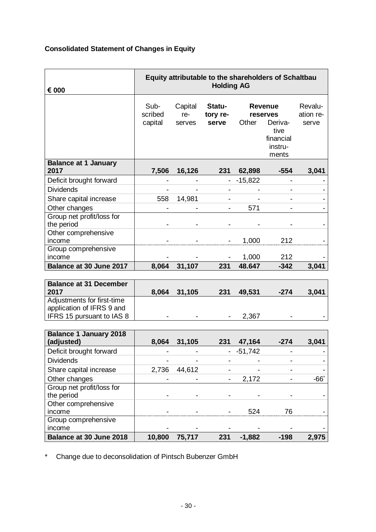## **Consolidated Statement of Changes in Equity**

| € 000                                   | Equity attributable to the shareholders of Schaltbau<br><b>Holding AG</b> |                          |                             |                                                                                         |                |                               |  |  |
|-----------------------------------------|---------------------------------------------------------------------------|--------------------------|-----------------------------|-----------------------------------------------------------------------------------------|----------------|-------------------------------|--|--|
|                                         | Sub-<br>scribed<br>capital                                                | Capital<br>re-<br>serves | Statu-<br>tory re-<br>serve | <b>Revenue</b><br>reserves<br>Other<br>Deriva-<br>tive<br>financial<br>instru-<br>ments |                | Revalu-<br>ation re-<br>serve |  |  |
| <b>Balance at 1 January</b><br>2017     | 7,506                                                                     | 16,126                   | 231                         | 62,898                                                                                  | $-554$         | 3,041                         |  |  |
| Deficit brought forward                 |                                                                           |                          |                             | $-15,822$                                                                               | ۰              |                               |  |  |
| <b>Dividends</b>                        |                                                                           |                          |                             |                                                                                         |                |                               |  |  |
| Share capital increase                  | 558                                                                       | 14,981                   |                             |                                                                                         |                |                               |  |  |
| Other changes                           |                                                                           |                          | ۰                           | 571                                                                                     | $\blacksquare$ |                               |  |  |
| Group net profit/loss for<br>the period |                                                                           |                          |                             |                                                                                         |                |                               |  |  |
| Other comprehensive<br>income           |                                                                           |                          |                             | 1,000                                                                                   | 212            |                               |  |  |
| Group comprehensive<br>income           |                                                                           |                          |                             | 1,000                                                                                   | 212            |                               |  |  |
| Balance at 30 June 2017                 | 8,064                                                                     | 31,107                   | 231                         | 48.647                                                                                  | $-342$         | 3,041                         |  |  |

| <b>Balance at 31 December</b><br>2017                   | 8.064 | 31,105 | 231 | 49.531   | -274 | 3,041 |
|---------------------------------------------------------|-------|--------|-----|----------|------|-------|
| Adjustments for first-time<br>application of IFRS 9 and |       |        |     |          |      |       |
| IFRS 15 pursuant to IAS 8                               | ۰     |        |     | $-2,367$ |      |       |

| <b>Balance 1 January 2018</b>           |                          |        |     |           |      |       |
|-----------------------------------------|--------------------------|--------|-----|-----------|------|-------|
| (adjusted)                              | 8,064                    | 31,105 | 231 | 47,164    | -274 | 3,041 |
| Deficit brought forward                 | $\overline{\phantom{0}}$ |        |     | $-51,742$ |      |       |
| <b>Dividends</b>                        |                          |        |     | -         |      |       |
| Share capital increase                  | 2,736                    | 44,612 |     | -         |      |       |
| Other changes                           |                          |        |     | 2,172     |      |       |
| Group net profit/loss for<br>the period | $\overline{\phantom{0}}$ |        |     |           |      |       |
| Other comprehensive<br>income           |                          |        |     | 524       | 76   |       |
| Group comprehensive                     |                          |        |     |           |      |       |
| income                                  |                          |        |     |           |      |       |
| Balance at 30 June 2018                 | 10,800                   | 75,717 | 231 | -1,882    | -198 | 2.975 |

\* Change due to deconsolidation of Pintsch Bubenzer GmbH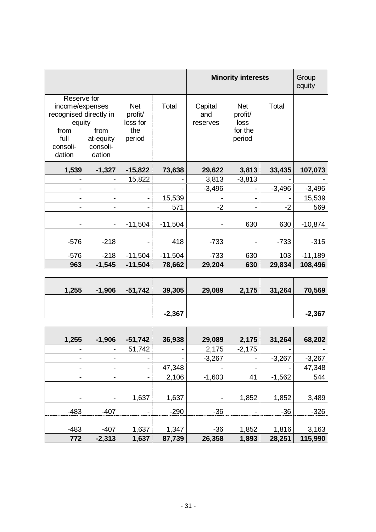|                                                                                                          |                                         |                                                    |           | <b>Minority interests</b>  |                                                    |          | Group<br>equity |
|----------------------------------------------------------------------------------------------------------|-----------------------------------------|----------------------------------------------------|-----------|----------------------------|----------------------------------------------------|----------|-----------------|
| Reserve for<br>income/expenses<br>recognised directly in<br>equity<br>from<br>full<br>consoli-<br>dation | from<br>at-equity<br>consoli-<br>dation | <b>Net</b><br>profit/<br>loss for<br>the<br>period | Total     | Capital<br>and<br>reserves | <b>Net</b><br>profit/<br>loss<br>for the<br>period | Total    |                 |
| 1,539                                                                                                    | $-1,327$                                | $-15,822$                                          | 73,638    | 29,622                     | 3,813                                              | 33,435   | 107,073         |
|                                                                                                          |                                         | 15,822                                             |           | 3,813                      | $-3,813$                                           |          |                 |
|                                                                                                          |                                         |                                                    |           | $-3,496$                   |                                                    | $-3,496$ | $-3,496$        |
|                                                                                                          |                                         |                                                    | 15,539    |                            |                                                    |          | 15,539          |
|                                                                                                          |                                         |                                                    | 571       | $-2$                       |                                                    | $-2$     | 569             |
|                                                                                                          |                                         | $-11,504$                                          | $-11,504$ |                            | 630                                                | 630      | $-10,874$       |
| $-576$                                                                                                   | $-218$                                  |                                                    | 418       | $-733$                     |                                                    | $-733$   | $-315$          |
| $-576$                                                                                                   | $-218$                                  | $-11,504$                                          | $-11,504$ | $-733$                     | 630                                                | 103      | $-11,189$       |
| 963                                                                                                      | $-1,545$                                | $-11,504$                                          | 78,662    | 29,204                     | 630                                                | 29,834   | 108,496         |
|                                                                                                          |                                         |                                                    |           |                            |                                                    |          |                 |
| 1,255                                                                                                    | $-1,906$                                | $-51,742$                                          | 39,305    | 29,089                     | 2,175                                              | 31,264   | 70,569          |
|                                                                                                          |                                         |                                                    | $-2,367$  |                            |                                                    |          | $-2,367$        |

| 1,255                    | $-1,906$                 | $-51,742$                | 36,938                   | 29,089                   | 2,175    | 31,264   | 68,202   |
|--------------------------|--------------------------|--------------------------|--------------------------|--------------------------|----------|----------|----------|
| -                        | $\blacksquare$           | 51,742                   | $\overline{\phantom{a}}$ | 2,175                    | $-2,175$ |          |          |
| $\overline{\phantom{a}}$ |                          | ۰                        | -                        | $-3,267$                 | ۰        | $-3,267$ | $-3,267$ |
| ٠                        | -                        | $\overline{\phantom{a}}$ | 47,348                   |                          |          |          | 47,348   |
| $\overline{\phantom{a}}$ | $\overline{\phantom{a}}$ | $\overline{\phantom{a}}$ | 2,106                    | $-1,603$                 | 41       | $-1,562$ | 544      |
|                          |                          |                          |                          |                          |          |          |          |
| $\overline{\phantom{0}}$ | $\blacksquare$           | 1,637                    | 1,637                    | $\overline{\phantom{a}}$ | 1,852    | 1,852    | 3,489    |
| $-483$                   | $-407$                   |                          | $-290$                   | $-36$                    |          | $-36$    | $-326$   |
|                          |                          |                          |                          |                          |          |          |          |
| $-483$                   | $-407$                   | 1,637                    | 1,347                    | $-36$                    | 1,852    | 1,816    | 3,163    |
| 772                      | $-2,313$                 | 1,637                    | 87,739                   | 26,358                   | 1,893    | 28,251   | 115,990  |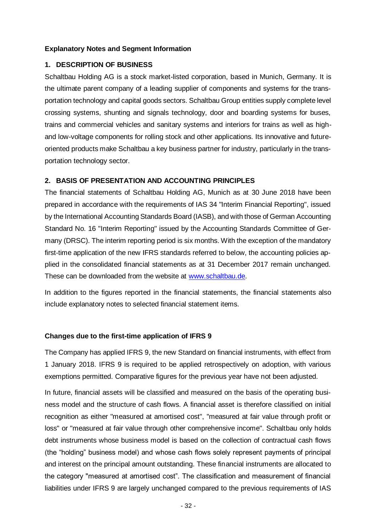#### **Explanatory Notes and Segment Information**

#### **1. DESCRIPTION OF BUSINESS**

Schaltbau Holding AG is a stock market-listed corporation, based in Munich, Germany. It is the ultimate parent company of a leading supplier of components and systems for the transportation technology and capital goods sectors. Schaltbau Group entities supply complete level crossing systems, shunting and signals technology, door and boarding systems for buses, trains and commercial vehicles and sanitary systems and interiors for trains as well as highand low-voltage components for rolling stock and other applications. Its innovative and futureoriented products make Schaltbau a key business partner for industry, particularly in the transportation technology sector.

#### **2. BASIS OF PRESENTATION AND ACCOUNTING PRINCIPLES**

The financial statements of Schaltbau Holding AG, Munich as at 30 June 2018 have been prepared in accordance with the requirements of IAS 34 "Interim Financial Reporting", issued by the International Accounting Standards Board (IASB), and with those of German Accounting Standard No. 16 "Interim Reporting" issued by the Accounting Standards Committee of Germany (DRSC). The interim reporting period is six months. With the exception of the mandatory first-time application of the new IFRS standards referred to below, the accounting policies applied in the consolidated financial statements as at 31 December 2017 remain unchanged. These can be downloaded from the website at [www.schaltbau.de.](http://www.schaltbau.de/)

In addition to the figures reported in the financial statements, the financial statements also include explanatory notes to selected financial statement items.

#### **Changes due to the first-time application of IFRS 9**

The Company has applied IFRS 9, the new Standard on financial instruments, with effect from 1 January 2018. IFRS 9 is required to be applied retrospectively on adoption, with various exemptions permitted. Comparative figures for the previous year have not been adjusted.

In future, financial assets will be classified and measured on the basis of the operating business model and the structure of cash flows. A financial asset is therefore classified on initial recognition as either "measured at amortised cost", "measured at fair value through profit or loss" or "measured at fair value through other comprehensive income". Schaltbau only holds debt instruments whose business model is based on the collection of contractual cash flows (the "holding" business model) and whose cash flows solely represent payments of principal and interest on the principal amount outstanding. These financial instruments are allocated to the category "measured at amortised cost". The classification and measurement of financial liabilities under IFRS 9 are largely unchanged compared to the previous requirements of IAS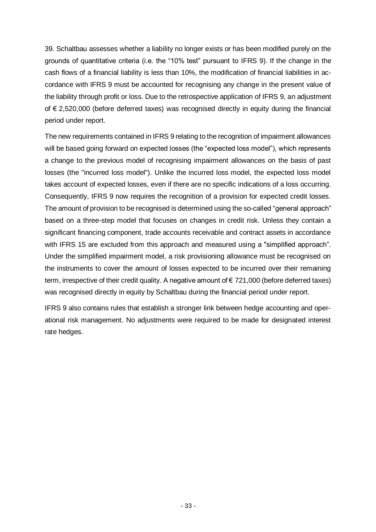39. Schaltbau assesses whether a liability no longer exists or has been modified purely on the grounds of quantitative criteria (i.e. the "10% test" pursuant to IFRS 9). If the change in the cash flows of a financial liability is less than 10%, the modification of financial liabilities in accordance with IFRS 9 must be accounted for recognising any change in the present value of the liability through profit or loss. Due to the retrospective application of IFRS 9, an adjustment of € 2,520,000 (before deferred taxes) was recognised directly in equity during the financial period under report.

The new requirements contained in IFRS 9 relating to the recognition of impairment allowances will be based going forward on expected losses (the "expected loss model"), which represents a change to the previous model of recognising impairment allowances on the basis of past losses (the "incurred loss model"). Unlike the incurred loss model, the expected loss model takes account of expected losses, even if there are no specific indications of a loss occurring. Consequently, IFRS 9 now requires the recognition of a provision for expected credit losses. The amount of provision to be recognised is determined using the so-called "general approach" based on a three-step model that focuses on changes in credit risk. Unless they contain a significant financing component, trade accounts receivable and contract assets in accordance with IFRS 15 are excluded from this approach and measured using a "simplified approach". Under the simplified impairment model, a risk provisioning allowance must be recognised on the instruments to cover the amount of losses expected to be incurred over their remaining term, irrespective of their credit quality. A negative amount of € 721,000 (before deferred taxes) was recognised directly in equity by Schaltbau during the financial period under report.

IFRS 9 also contains rules that establish a stronger link between hedge accounting and operational risk management. No adjustments were required to be made for designated interest rate hedges.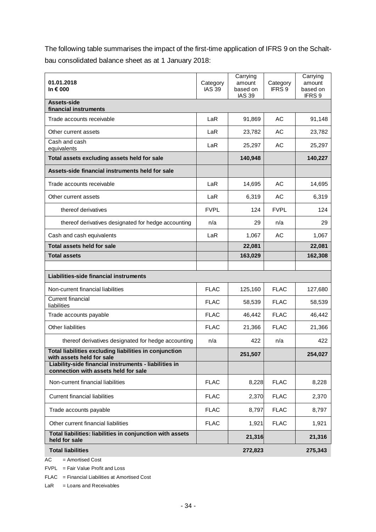The following table summarises the impact of the first-time application of IFRS 9 on the Schaltbau consolidated balance sheet as at 1 January 2018:

| 01.01.2018<br>In € 000                                                                        | Category<br><b>IAS 39</b> | Carrying<br>amount<br>based on<br><b>IAS 39</b> | Category<br>IFRS 9 | Carrying<br>amount<br>based on<br>IFRS 9 |
|-----------------------------------------------------------------------------------------------|---------------------------|-------------------------------------------------|--------------------|------------------------------------------|
| Assets-side<br>financial instruments                                                          |                           |                                                 |                    |                                          |
| Trade accounts receivable                                                                     | LaR                       | 91,869                                          | AC                 | 91,148                                   |
| Other current assets                                                                          | LaR                       | 23,782                                          | AC                 | 23,782                                   |
| Cash and cash<br>equivalents                                                                  | LaR                       | 25,297                                          | AC                 | 25,297                                   |
| Total assets excluding assets held for sale                                                   |                           | 140,948                                         |                    | 140,227                                  |
| Assets-side financial instruments held for sale                                               |                           |                                                 |                    |                                          |
| Trade accounts receivable                                                                     | LaR                       | 14,695                                          | AC                 | 14,695                                   |
| Other current assets                                                                          | LaR                       | 6,319                                           | AC                 | 6,319                                    |
| thereof derivatives                                                                           | <b>FVPL</b>               | 124                                             | <b>FVPL</b>        | 124                                      |
| thereof derivatives designated for hedge accounting                                           | n/a                       | 29                                              | n/a                | 29                                       |
| Cash and cash equivalents                                                                     | LaR                       | 1,067                                           | AC                 | 1,067                                    |
| <b>Total assets held for sale</b>                                                             |                           | 22,081                                          |                    | 22,081                                   |
| <b>Total assets</b>                                                                           |                           | 163,029                                         |                    | 162,308                                  |
|                                                                                               |                           |                                                 |                    |                                          |
| Liabilities-side financial instruments                                                        |                           |                                                 |                    |                                          |
| Non-current financial liabilities                                                             | <b>FLAC</b>               | 125,160                                         | <b>FLAC</b>        | 127,680                                  |
| <b>Current financial</b><br>liabilities                                                       | <b>FLAC</b>               | 58,539                                          | <b>FLAC</b>        | 58,539                                   |
| Trade accounts payable                                                                        | <b>FLAC</b>               | 46,442                                          | <b>FLAC</b>        | 46,442                                   |
| Other liabilities                                                                             | <b>FLAC</b>               | 21,366                                          | <b>FLAC</b>        | 21,366                                   |
| thereof derivatives designated for hedge accounting                                           | n/a                       | 422                                             | n/a                | 422                                      |
| Total liabilities excluding liabilities in conjunction<br>with assets held for sale           |                           | 251,507                                         |                    | 254,027                                  |
| Liability-side financial instruments - liabilities in<br>connection with assets held for sale |                           |                                                 |                    |                                          |
| Non-current financial liabilities                                                             | <b>FLAC</b>               | 8,228                                           | <b>FLAC</b>        | 8,228                                    |
| <b>Current financial liabilities</b>                                                          | <b>FLAC</b>               | 2,370                                           | <b>FLAC</b>        | 2,370                                    |
| Trade accounts payable                                                                        | <b>FLAC</b>               | 8,797                                           | <b>FLAC</b>        | 8,797                                    |
| Other current financial liabilities                                                           | <b>FLAC</b>               | 1,921                                           | <b>FLAC</b>        | 1,921                                    |
| Total liabilities: liabilities in conjunction with assets<br>held for sale                    |                           | 21,316                                          |                    | 21,316                                   |
| <b>Total liabilities</b>                                                                      |                           | 272,823                                         |                    | 275,343                                  |

 $AC =$  Amortised Cost

FVPL = Fair Value Profit and Loss

FLAC = Financial Liabilities at Amortised Cost

 $LaR = Loans$  and Receivables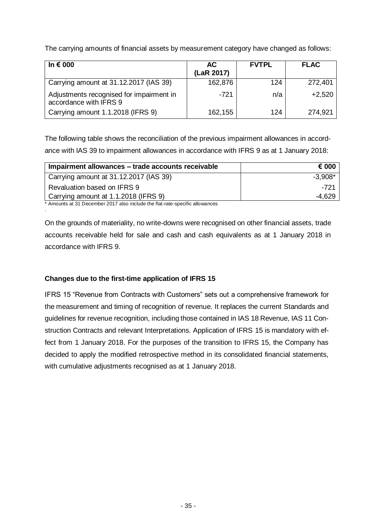The carrying amounts of financial assets by measurement category have changed as follows:

| In $\epsilon$ 000                                                  | AC.<br>(LaR 2017) | <b>FVTPL</b> | <b>FLAC</b> |
|--------------------------------------------------------------------|-------------------|--------------|-------------|
| Carrying amount at 31.12.2017 (IAS 39)                             | 162,876           | 124          | 272,401     |
| Adjustments recognised for impairment in<br>accordance with IFRS 9 | $-721$            | n/a          | $+2,520$    |
| Carrying amount 1.1.2018 (IFRS 9)                                  | 162,155           | 124          | 274,921     |

The following table shows the reconciliation of the previous impairment allowances in accordance with IAS 39 to impairment allowances in accordance with IFRS 9 as at 1 January 2018:

| Impairment allowances – trade accounts receivable | € 000     |
|---------------------------------------------------|-----------|
| Carrying amount at 31.12.2017 (IAS 39)            | $-3.908*$ |
| Revaluation based on IFRS 9                       | -721      |
| Carrying amount at 1.1.2018 (IFRS 9)              | -4.629    |

\* Amounts at 31 December 2017 also include the flat-rate-specific allowances

.

On the grounds of materiality, no write-downs were recognised on other financial assets, trade accounts receivable held for sale and cash and cash equivalents as at 1 January 2018 in accordance with IFRS 9.

#### **Changes due to the first-time application of IFRS 15**

IFRS 15 "Revenue from Contracts with Customers" sets out a comprehensive framework for the measurement and timing of recognition of revenue. It replaces the current Standards and guidelines for revenue recognition, including those contained in IAS 18 Revenue, IAS 11 Construction Contracts and relevant Interpretations. Application of IFRS 15 is mandatory with effect from 1 January 2018. For the purposes of the transition to IFRS 15, the Company has decided to apply the modified retrospective method in its consolidated financial statements, with cumulative adjustments recognised as at 1 January 2018.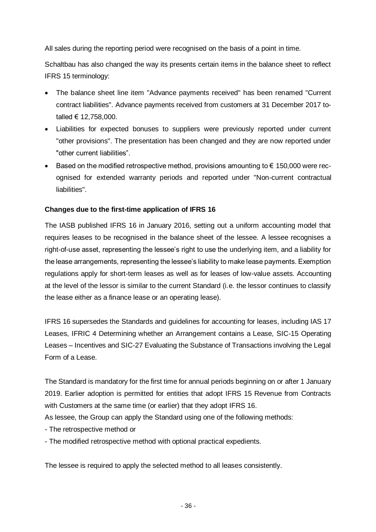All sales during the reporting period were recognised on the basis of a point in time.

Schaltbau has also changed the way its presents certain items in the balance sheet to reflect IFRS 15 terminology:

- The balance sheet line item "Advance payments received" has been renamed "Current contract liabilities". Advance payments received from customers at 31 December 2017 totalled € 12,758,000.
- Liabilities for expected bonuses to suppliers were previously reported under current "other provisions". The presentation has been changed and they are now reported under "other current liabilities".
- Based on the modified retrospective method, provisions amounting to  $\epsilon$  150,000 were recognised for extended warranty periods and reported under "Non-current contractual liabilities".

#### **Changes due to the first-time application of IFRS 16**

The IASB published IFRS 16 in January 2016, setting out a uniform accounting model that requires leases to be recognised in the balance sheet of the lessee. A lessee recognises a right-of-use asset, representing the lessee's right to use the underlying item, and a liability for the lease arrangements, representing the lessee's liability to make lease payments. Exemption regulations apply for short-term leases as well as for leases of low-value assets. Accounting at the level of the lessor is similar to the current Standard (i.e. the lessor continues to classify the lease either as a finance lease or an operating lease).

IFRS 16 supersedes the Standards and guidelines for accounting for leases, including IAS 17 Leases, IFRIC 4 Determining whether an Arrangement contains a Lease, SIC-15 Operating Leases – Incentives and SIC-27 Evaluating the Substance of Transactions involving the Legal Form of a Lease.

The Standard is mandatory for the first time for annual periods beginning on or after 1 January 2019. Earlier adoption is permitted for entities that adopt IFRS 15 Revenue from Contracts with Customers at the same time (or earlier) that they adopt IFRS 16.

As lessee, the Group can apply the Standard using one of the following methods:

- The retrospective method or
- The modified retrospective method with optional practical expedients.

The lessee is required to apply the selected method to all leases consistently.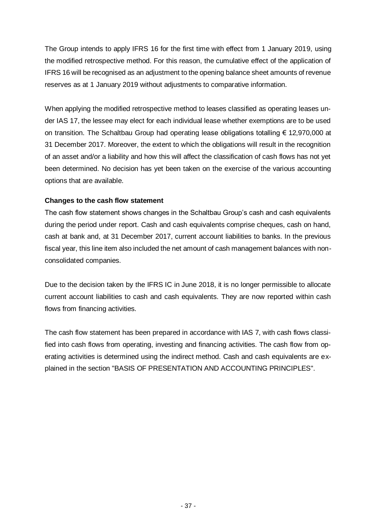The Group intends to apply IFRS 16 for the first time with effect from 1 January 2019, using the modified retrospective method. For this reason, the cumulative effect of the application of IFRS 16 will be recognised as an adjustment to the opening balance sheet amounts of revenue reserves as at 1 January 2019 without adjustments to comparative information.

When applying the modified retrospective method to leases classified as operating leases under IAS 17, the lessee may elect for each individual lease whether exemptions are to be used on transition. The Schaltbau Group had operating lease obligations totalling € 12,970,000 at 31 December 2017. Moreover, the extent to which the obligations will result in the recognition of an asset and/or a liability and how this will affect the classification of cash flows has not yet been determined. No decision has yet been taken on the exercise of the various accounting options that are available.

### **Changes to the cash flow statement**

The cash flow statement shows changes in the Schaltbau Group's cash and cash equivalents during the period under report. Cash and cash equivalents comprise cheques, cash on hand, cash at bank and, at 31 December 2017, current account liabilities to banks. In the previous fiscal year, this line item also included the net amount of cash management balances with nonconsolidated companies.

Due to the decision taken by the IFRS IC in June 2018, it is no longer permissible to allocate current account liabilities to cash and cash equivalents. They are now reported within cash flows from financing activities.

The cash flow statement has been prepared in accordance with IAS 7, with cash flows classified into cash flows from operating, investing and financing activities. The cash flow from operating activities is determined using the indirect method. Cash and cash equivalents are explained in the section "BASIS OF PRESENTATION AND ACCOUNTING PRINCIPLES".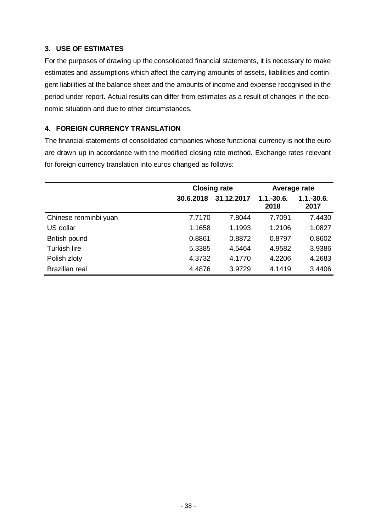### **3. USE OF ESTIMATES**

For the purposes of drawing up the consolidated financial statements, it is necessary to make estimates and assumptions which affect the carrying amounts of assets, liabilities and contingent liabilities at the balance sheet and the amounts of income and expense recognised in the period under report. Actual results can differ from estimates as a result of changes in the economic situation and due to other circumstances.

### **4. FOREIGN CURRENCY TRANSLATION**

The financial statements of consolidated companies whose functional currency is not the euro are drawn up in accordance with the modified closing rate method. Exchange rates relevant for foreign currency translation into euros changed as follows:

|                       |           | <b>Closing rate</b> | Average rate           |                      |  |
|-----------------------|-----------|---------------------|------------------------|----------------------|--|
|                       | 30.6.2018 | 31.12.2017          | $1.1 - 30.6$ .<br>2018 | $1.1.-30.6.$<br>2017 |  |
| Chinese renminbi yuan | 7.7170    | 7.8044              | 7.7091                 | 7.4430               |  |
| US dollar             | 1.1658    | 1.1993              | 1.2106                 | 1.0827               |  |
| British pound         | 0.8861    | 0.8872              | 0.8797                 | 0.8602               |  |
| <b>Turkish lire</b>   | 5.3385    | 4.5464              | 4.9582                 | 3.9386               |  |
| Polish zloty          | 4.3732    | 4.1770              | 4.2206                 | 4.2683               |  |
| <b>Brazilian real</b> | 4.4876    | 3.9729              | 4.1419                 | 3.4406               |  |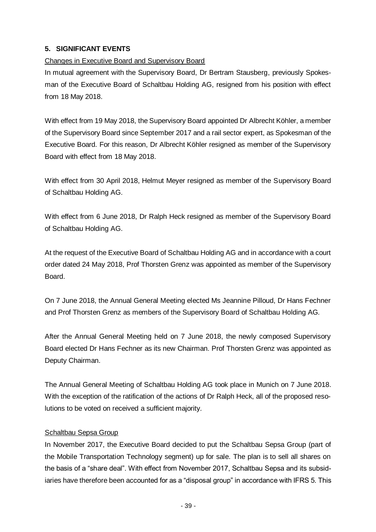### **5. SIGNIFICANT EVENTS**

### Changes in Executive Board and Supervisory Board

In mutual agreement with the Supervisory Board, Dr Bertram Stausberg, previously Spokesman of the Executive Board of Schaltbau Holding AG, resigned from his position with effect from 18 May 2018.

With effect from 19 May 2018, the Supervisory Board appointed Dr Albrecht Köhler, a member of the Supervisory Board since September 2017 and a rail sector expert, as Spokesman of the Executive Board. For this reason, Dr Albrecht Köhler resigned as member of the Supervisory Board with effect from 18 May 2018.

With effect from 30 April 2018, Helmut Meyer resigned as member of the Supervisory Board of Schaltbau Holding AG.

With effect from 6 June 2018, Dr Ralph Heck resigned as member of the Supervisory Board of Schaltbau Holding AG.

At the request of the Executive Board of Schaltbau Holding AG and in accordance with a court order dated 24 May 2018, Prof Thorsten Grenz was appointed as member of the Supervisory Board.

On 7 June 2018, the Annual General Meeting elected Ms Jeannine Pilloud, Dr Hans Fechner and Prof Thorsten Grenz as members of the Supervisory Board of Schaltbau Holding AG.

After the Annual General Meeting held on 7 June 2018, the newly composed Supervisory Board elected Dr Hans Fechner as its new Chairman. Prof Thorsten Grenz was appointed as Deputy Chairman.

The Annual General Meeting of Schaltbau Holding AG took place in Munich on 7 June 2018. With the exception of the ratification of the actions of Dr Ralph Heck, all of the proposed resolutions to be voted on received a sufficient majority.

### Schaltbau Sepsa Group

In November 2017, the Executive Board decided to put the Schaltbau Sepsa Group (part of the Mobile Transportation Technology segment) up for sale. The plan is to sell all shares on the basis of a "share deal". With effect from November 2017, Schaltbau Sepsa and its subsidiaries have therefore been accounted for as a "disposal group" in accordance with IFRS 5. This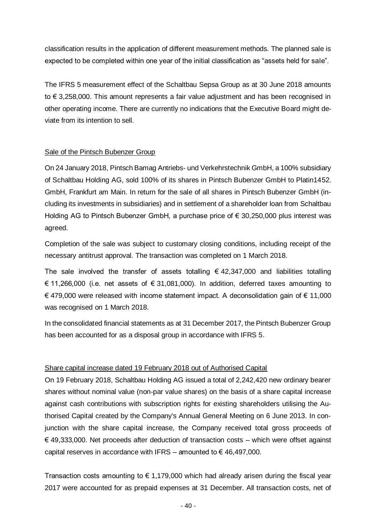classification results in the application of different measurement methods. The planned sale is expected to be completed within one year of the initial classification as "assets held for sale".

The IFRS 5 measurement effect of the Schaltbau Sepsa Group as at 30 June 2018 amounts to € 3,258,000. This amount represents a fair value adjustment and has been recognised in other operating income. There are currently no indications that the Executive Board might deviate from its intention to sell.

#### Sale of the Pintsch Bubenzer Group

On 24 January 2018, Pintsch Bamag Antriebs- und Verkehrstechnik GmbH, a 100% subsidiary of Schaltbau Holding AG, sold 100% of its shares in Pintsch Bubenzer GmbH to Platin1452. GmbH, Frankfurt am Main. In return for the sale of all shares in Pintsch Bubenzer GmbH (including its investments in subsidiaries) and in settlement of a shareholder loan from Schaltbau Holding AG to Pintsch Bubenzer GmbH, a purchase price of € 30,250,000 plus interest was agreed.

Completion of the sale was subject to customary closing conditions, including receipt of the necessary antitrust approval. The transaction was completed on 1 March 2018.

The sale involved the transfer of assets totalling  $\epsilon$  42,347,000 and liabilities totalling € 11,266,000 (i.e. net assets of  $€ 31,081,000$ ). In addition, deferred taxes amounting to € 479,000 were released with income statement impact. A deconsolidation gain of € 11,000 was recognised on 1 March 2018.

In the consolidated financial statements as at 31 December 2017, the Pintsch Bubenzer Group has been accounted for as a disposal group in accordance with IFRS 5.

#### Share capital increase dated 19 February 2018 out of Authorised Capital

On 19 February 2018, Schaltbau Holding AG issued a total of 2,242,420 new ordinary bearer shares without nominal value (non-par value shares) on the basis of a share capital increase against cash contributions with subscription rights for existing shareholders utilising the Authorised Capital created by the Company's Annual General Meeting on 6 June 2013. In conjunction with the share capital increase, the Company received total gross proceeds of  $\epsilon$  49,333,000. Net proceeds after deduction of transaction costs – which were offset against capital reserves in accordance with IFRS – amounted to  $\epsilon$  46,497,000.

Transaction costs amounting to  $\epsilon$  1,179,000 which had already arisen during the fiscal year 2017 were accounted for as prepaid expenses at 31 December. All transaction costs, net of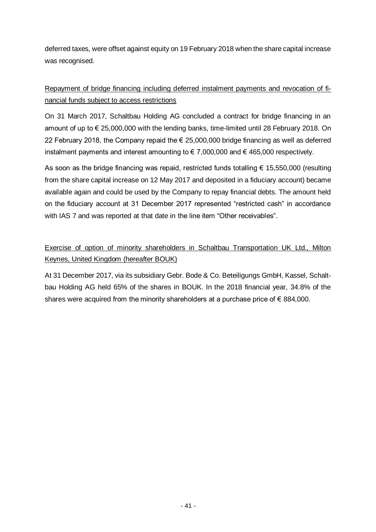deferred taxes, were offset against equity on 19 February 2018 when the share capital increase was recognised.

## Repayment of bridge financing including deferred instalment payments and revocation of financial funds subject to access restrictions

On 31 March 2017, Schaltbau Holding AG concluded a contract for bridge financing in an amount of up to € 25,000,000 with the lending banks, time-limited until 28 February 2018. On 22 February 2018, the Company repaid the € 25,000,000 bridge financing as well as deferred instalment payments and interest amounting to € 7,000,000 and € 465,000 respectively.

As soon as the bridge financing was repaid, restricted funds totalling  $\epsilon$  15,550,000 (resulting from the share capital increase on 12 May 2017 and deposited in a fiduciary account) became available again and could be used by the Company to repay financial debts. The amount held on the fiduciary account at 31 December 2017 represented "restricted cash" in accordance with IAS 7 and was reported at that date in the line item "Other receivables".

## Exercise of option of minority shareholders in Schaltbau Transportation UK Ltd., Milton Keynes, United Kingdom (hereafter BOUK)

At 31 December 2017, via its subsidiary Gebr. Bode & Co. Beteiligungs GmbH, Kassel, Schaltbau Holding AG held 65% of the shares in BOUK. In the 2018 financial year, 34.8% of the shares were acquired from the minority shareholders at a purchase price of  $\epsilon$  884,000.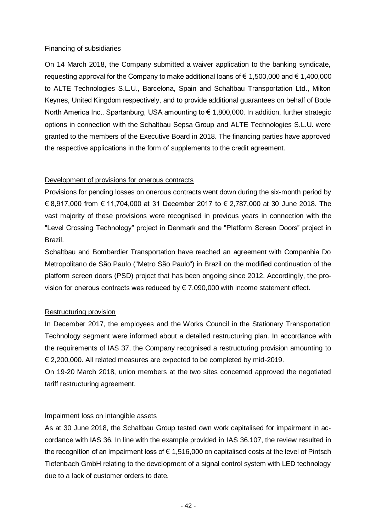#### Financing of subsidiaries

On 14 March 2018, the Company submitted a waiver application to the banking syndicate, requesting approval for the Company to make additional loans of  $\epsilon$  1,500,000 and  $\epsilon$  1,400,000 to ALTE Technologies S.L.U., Barcelona, Spain and Schaltbau Transportation Ltd., Milton Keynes, United Kingdom respectively, and to provide additional guarantees on behalf of Bode North America Inc., Spartanburg, USA amounting to € 1,800,000. In addition, further strategic options in connection with the Schaltbau Sepsa Group and ALTE Technologies S.L.U. were granted to the members of the Executive Board in 2018. The financing parties have approved the respective applications in the form of supplements to the credit agreement.

#### Development of provisions for onerous contracts

Provisions for pending losses on onerous contracts went down during the six-month period by € 8,917,000 from € 11,704,000 at 31 December 2017 to € 2,787,000 at 30 June 2018. The vast majority of these provisions were recognised in previous years in connection with the "Level Crossing Technology" project in Denmark and the "Platform Screen Doors" project in Brazil.

Schaltbau and Bombardier Transportation have reached an agreement with Companhia Do Metropolitano de São Paulo ("Metro São Paulo") in Brazil on the modified continuation of the platform screen doors (PSD) project that has been ongoing since 2012. Accordingly, the provision for onerous contracts was reduced by € 7,090,000 with income statement effect.

#### Restructuring provision

In December 2017, the employees and the Works Council in the Stationary Transportation Technology segment were informed about a detailed restructuring plan. In accordance with the requirements of IAS 37, the Company recognised a restructuring provision amounting to € 2,200,000. All related measures are expected to be completed by mid-2019.

On 19-20 March 2018, union members at the two sites concerned approved the negotiated tariff restructuring agreement.

#### Impairment loss on intangible assets

As at 30 June 2018, the Schaltbau Group tested own work capitalised for impairment in accordance with IAS 36. In line with the example provided in IAS 36.107, the review resulted in the recognition of an impairment loss of  $\epsilon$  1,516,000 on capitalised costs at the level of Pintsch Tiefenbach GmbH relating to the development of a signal control system with LED technology due to a lack of customer orders to date.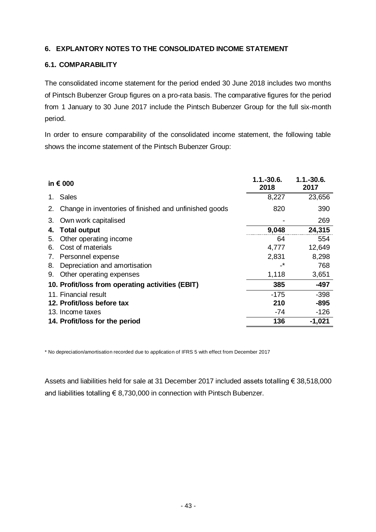### **6. EXPLANTORY NOTES TO THE CONSOLIDATED INCOME STATEMENT**

#### **6.1. COMPARABILITY**

The consolidated income statement for the period ended 30 June 2018 includes two months of Pintsch Bubenzer Group figures on a pro-rata basis. The comparative figures for the period from 1 January to 30 June 2017 include the Pintsch Bubenzer Group for the full six-month period.

In order to ensure comparability of the consolidated income statement, the following table shows the income statement of the Pintsch Bubenzer Group:

|    | in € 000                                               | $1.1 - 30.6$<br>2018 | 1.1.-30.6.<br>2017 |
|----|--------------------------------------------------------|----------------------|--------------------|
|    | <b>Sales</b>                                           | 8,227                | 23,656             |
| 2. | Change in inventories of finished and unfinished goods | 820                  | 390                |
| 3. | Own work capitalised                                   |                      | 269                |
| 4. | <b>Total output</b>                                    | 9,048                | 24,315             |
| 5. | Other operating income                                 | 64                   | 554                |
| 6. | Cost of materials                                      | 4,777                | 12,649             |
| 7. | Personnel expense                                      | 2,831                | 8,298              |
| 8. | Depreciation and amortisation                          | -*                   | 768                |
| 9. | Other operating expenses                               | 1,118                | 3,651              |
|    | 10. Profit/loss from operating activities (EBIT)       | 385                  | -497               |
|    | 11. Financial result                                   | $-175$               | $-398$             |
|    | 12. Profit/loss before tax                             | 210                  | $-895$             |
|    | 13. Income taxes                                       | -74                  | $-126$             |
|    | 14. Profit/loss for the period                         | 136                  | $-1,021$           |

\* No depreciation/amortisation recorded due to application of IFRS 5 with effect from December 2017

Assets and liabilities held for sale at 31 December 2017 included assets totalling € 38,518,000 and liabilities totalling € 8,730,000 in connection with Pintsch Bubenzer.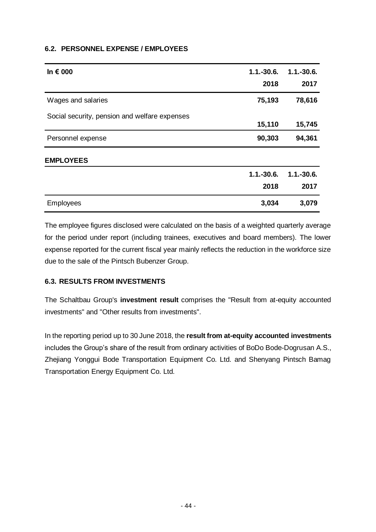#### **6.2. PERSONNEL EXPENSE / EMPLOYEES**

| In $\epsilon$ 000                             | $1.1 - 30.6$ .<br>2018 | $1.1.-30.6.$<br>2017 |
|-----------------------------------------------|------------------------|----------------------|
| Wages and salaries                            | 75,193                 | 78,616               |
| Social security, pension and welfare expenses | 15,110                 | 15,745               |
| Personnel expense                             | 90,303                 | 94,361               |
| <b>EMPLOYEES</b>                              |                        |                      |
|                                               | $1.1 - 30.6$ .         | $1.1.-30.6.$         |
|                                               | 2018                   | 2017                 |
| <b>Employees</b>                              | 3,034                  | 3,079                |

The employee figures disclosed were calculated on the basis of a weighted quarterly average for the period under report (including trainees, executives and board members). The lower expense reported for the current fiscal year mainly reflects the reduction in the workforce size due to the sale of the Pintsch Bubenzer Group.

### **6.3. RESULTS FROM INVESTMENTS**

The Schaltbau Group's **investment result** comprises the "Result from at-equity accounted investments" and "Other results from investments".

In the reporting period up to 30 June 2018, the **result from at-equity accounted investments** includes the Group's share of the result from ordinary activities of BoDo Bode-Dogrusan A.S., Zhejiang Yonggui Bode Transportation Equipment Co. Ltd. and Shenyang Pintsch Bamag Transportation Energy Equipment Co. Ltd.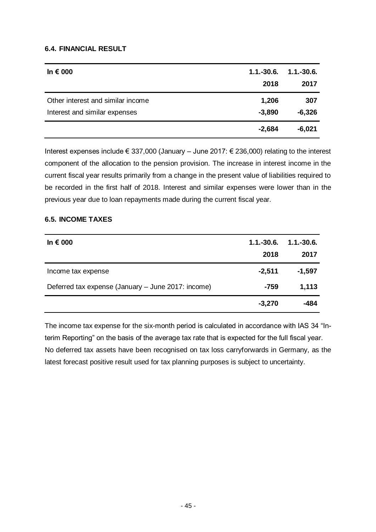#### **6.4. FINANCIAL RESULT**

| In $\epsilon$ 000                 | $1.1.-30.6.$ | $1.1.-30.6.$ |
|-----------------------------------|--------------|--------------|
|                                   | 2018         | 2017         |
| Other interest and similar income | 1,206        | 307          |
| Interest and similar expenses     | $-3,890$     | $-6,326$     |
|                                   | $-2,684$     | $-6,021$     |

Interest expenses include € 337,000 (January – June 2017: € 236,000) relating to the interest component of the allocation to the pension provision. The increase in interest income in the current fiscal year results primarily from a change in the present value of liabilities required to be recorded in the first half of 2018. Interest and similar expenses were lower than in the previous year due to loan repayments made during the current fiscal year.

#### **6.5. INCOME TAXES**

| In $\epsilon$ 000                                  | $1.1.-30.6.$<br>2018 | $1.1 - 30.6$<br>2017 |
|----------------------------------------------------|----------------------|----------------------|
| Income tax expense                                 | $-2,511$             | $-1,597$             |
| Deferred tax expense (January - June 2017: income) | $-759$               | 1,113                |
|                                                    | $-3,270$             | -484                 |

The income tax expense for the six-month period is calculated in accordance with IAS 34 "Interim Reporting" on the basis of the average tax rate that is expected for the full fiscal year. No deferred tax assets have been recognised on tax loss carryforwards in Germany, as the latest forecast positive result used for tax planning purposes is subject to uncertainty.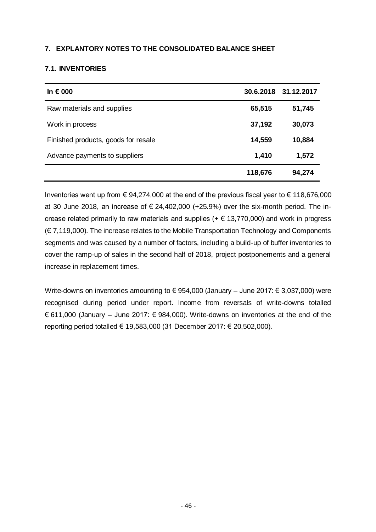#### **7. EXPLANTORY NOTES TO THE CONSOLIDATED BALANCE SHEET**

#### **7.1. INVENTORIES**

| In $\epsilon$ 000                   |         | 30.6.2018 31.12.2017 |
|-------------------------------------|---------|----------------------|
| Raw materials and supplies          | 65,515  | 51,745               |
| Work in process                     | 37,192  | 30,073               |
| Finished products, goods for resale | 14,559  | 10,884               |
| Advance payments to suppliers       | 1,410   | 1,572                |
|                                     | 118,676 | 94,274               |

Inventories went up from  $\epsilon$  94,274,000 at the end of the previous fiscal year to  $\epsilon$  118,676,000 at 30 June 2018, an increase of  $\epsilon$  24,402,000 (+25.9%) over the six-month period. The increase related primarily to raw materials and supplies ( $+ \epsilon$  13,770,000) and work in progress (€ 7,119,000). The increase relates to the Mobile Transportation Technology and Components segments and was caused by a number of factors, including a build-up of buffer inventories to cover the ramp-up of sales in the second half of 2018, project postponements and a general increase in replacement times.

Write-downs on inventories amounting to € 954,000 (January – June 2017: € 3,037,000) were recognised during period under report. Income from reversals of write-downs totalled € 611,000 (January – June 2017: € 984,000). Write-downs on inventories at the end of the reporting period totalled € 19,583,000 (31 December 2017: € 20,502,000).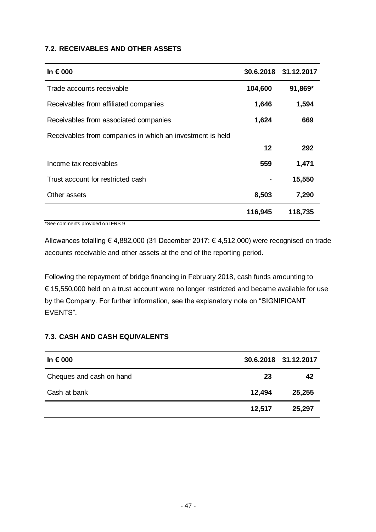#### **7.2. RECEIVABLES AND OTHER ASSETS**

| In $\epsilon$ 000                                         |         | 30.6.2018 31.12.2017 |
|-----------------------------------------------------------|---------|----------------------|
| Trade accounts receivable                                 | 104,600 | 91,869*              |
| Receivables from affiliated companies                     | 1,646   | 1,594                |
| Receivables from associated companies                     | 1,624   | 669                  |
| Receivables from companies in which an investment is held |         |                      |
|                                                           | 12      | 292                  |
| Income tax receivables                                    | 559     | 1,471                |
| Trust account for restricted cash                         |         | 15,550               |
| Other assets                                              | 8,503   | 7,290                |
|                                                           | 116,945 | 118,735              |

\*See comments provided on IFRS 9

Allowances totalling € 4,882,000 (31 December 2017: € 4,512,000) were recognised on trade accounts receivable and other assets at the end of the reporting period.

Following the repayment of bridge financing in February 2018, cash funds amounting to € 15,550,000 held on a trust account were no longer restricted and became available for use by the Company. For further information, see the explanatory note on "SIGNIFICANT EVENTS".

### **7.3. CASH AND CASH EQUIVALENTS**

| In $\epsilon$ 000        |        | 30.6.2018 31.12.2017 |
|--------------------------|--------|----------------------|
| Cheques and cash on hand | 23     | 42                   |
| Cash at bank             | 12,494 | 25,255               |
|                          | 12,517 | 25,297               |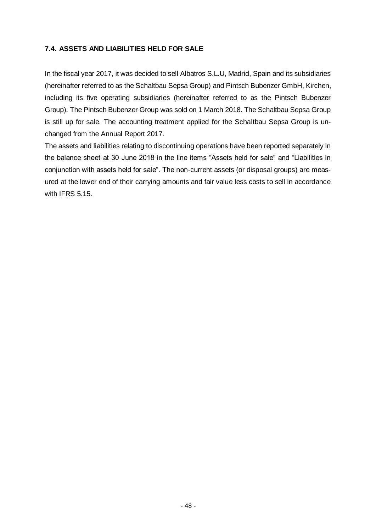#### **7.4. ASSETS AND LIABILITIES HELD FOR SALE**

In the fiscal year 2017, it was decided to sell Albatros S.L.U, Madrid, Spain and its subsidiaries (hereinafter referred to as the Schaltbau Sepsa Group) and Pintsch Bubenzer GmbH, Kirchen, including its five operating subsidiaries (hereinafter referred to as the Pintsch Bubenzer Group). The Pintsch Bubenzer Group was sold on 1 March 2018. The Schaltbau Sepsa Group is still up for sale. The accounting treatment applied for the Schaltbau Sepsa Group is unchanged from the Annual Report 2017.

The assets and liabilities relating to discontinuing operations have been reported separately in the balance sheet at 30 June 2018 in the line items "Assets held for sale" and "Liabilities in conjunction with assets held for sale". The non-current assets (or disposal groups) are measured at the lower end of their carrying amounts and fair value less costs to sell in accordance with IFRS 5.15.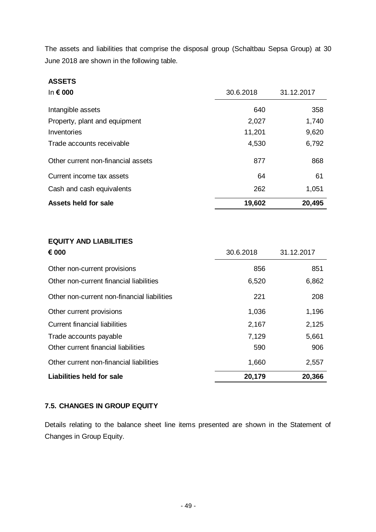The assets and liabilities that comprise the disposal group (Schaltbau Sepsa Group) at 30 June 2018 are shown in the following table.

| <b>ASSETS</b>                      |           |            |
|------------------------------------|-----------|------------|
| In $\epsilon$ 000                  | 30.6.2018 | 31.12.2017 |
| Intangible assets                  | 640       | 358        |
| Property, plant and equipment      | 2,027     | 1,740      |
| Inventories                        | 11,201    | 9,620      |
| Trade accounts receivable          | 4,530     | 6,792      |
| Other current non-financial assets | 877       | 868        |
| Current income tax assets          | 64        | 61         |
| Cash and cash equivalents          | 262       | 1,051      |
| Assets held for sale               | 19,602    | 20,495     |

# **EQUITY AND LIABILITIES**

| € 000                                       | 30.6.2018 | 31.12.2017 |
|---------------------------------------------|-----------|------------|
| Other non-current provisions                | 856       | 851        |
| Other non-current financial liabilities     | 6,520     | 6,862      |
| Other non-current non-financial liabilities | 221       | 208        |
| Other current provisions                    | 1,036     | 1,196      |
| <b>Current financial liabilities</b>        | 2,167     | 2,125      |
| Trade accounts payable                      | 7,129     | 5,661      |
| Other current financial liabilities         | 590       | 906        |
| Other current non-financial liabilities     | 1,660     | 2,557      |
| <b>Liabilities held for sale</b>            | 20,179    | 20,366     |

### **7.5. CHANGES IN GROUP EQUITY**

Details relating to the balance sheet line items presented are shown in the Statement of Changes in Group Equity.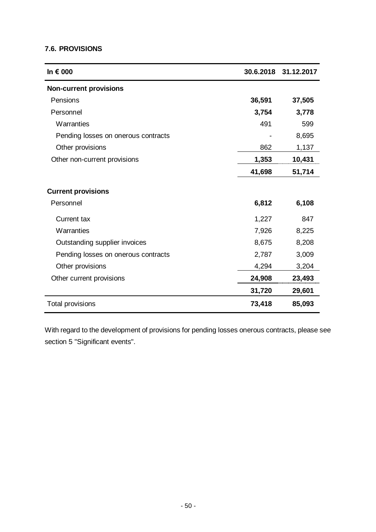#### **7.6. PROVISIONS**

| In € 000                            |        | 30.6.2018 31.12.2017 |
|-------------------------------------|--------|----------------------|
| <b>Non-current provisions</b>       |        |                      |
| Pensions                            | 36,591 | 37,505               |
| Personnel                           | 3,754  | 3,778                |
| Warranties                          | 491    | 599                  |
| Pending losses on onerous contracts |        | 8,695                |
| Other provisions                    | 862    | 1,137                |
| Other non-current provisions        | 1,353  | 10,431               |
|                                     | 41,698 | 51,714               |
| <b>Current provisions</b>           |        |                      |
| Personnel                           | 6,812  | 6,108                |
| <b>Current tax</b>                  | 1,227  | 847                  |
| Warranties                          | 7,926  | 8,225                |
| Outstanding supplier invoices       | 8,675  | 8,208                |
| Pending losses on onerous contracts | 2,787  | 3,009                |
| Other provisions                    | 4,294  | 3,204                |
| Other current provisions            | 24,908 | 23,493               |
|                                     | 31,720 | 29,601               |
| Total provisions                    | 73,418 | 85,093               |

With regard to the development of provisions for pending losses onerous contracts, please see section 5 "Significant events".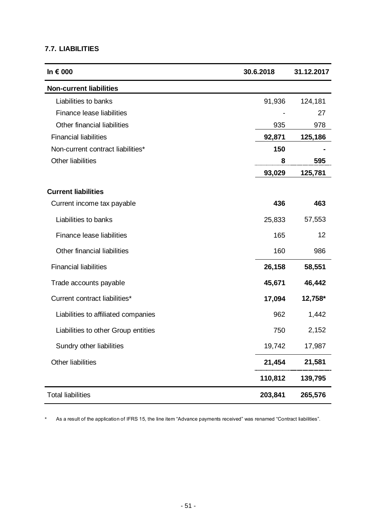#### **7.7. LIABILITIES**

| In € 000                            | 30.6.2018 | 31.12.2017 |
|-------------------------------------|-----------|------------|
| <b>Non-current liabilities</b>      |           |            |
| Liabilities to banks                | 91,936    | 124,181    |
| Finance lease liabilities           |           | 27         |
| Other financial liabilities         | 935       | 978        |
| <b>Financial liabilities</b>        | 92,871    | 125,186    |
| Non-current contract liabilities*   | 150       |            |
| <b>Other liabilities</b>            | 8         | 595        |
|                                     | 93,029    | 125,781    |
| <b>Current liabilities</b>          |           |            |
| Current income tax payable          | 436       | 463        |
| Liabilities to banks                | 25,833    | 57,553     |
| Finance lease liabilities           | 165       | 12         |
| Other financial liabilities         | 160       | 986        |
| <b>Financial liabilities</b>        | 26,158    | 58,551     |
| Trade accounts payable              | 45,671    | 46,442     |
| Current contract liabilities*       | 17,094    | 12,758*    |
| Liabilities to affiliated companies | 962       | 1,442      |
| Liabilities to other Group entities | 750       | 2,152      |
| Sundry other liabilities            | 19,742    | 17,987     |
| Other liabilities                   | 21,454    | 21,581     |
|                                     | 110,812   | 139,795    |
| <b>Total liabilities</b>            | 203,841   | 265,576    |

\* As a result of the application of IFRS 15, the line item "Advance payments received" was renamed "Contract liabilities".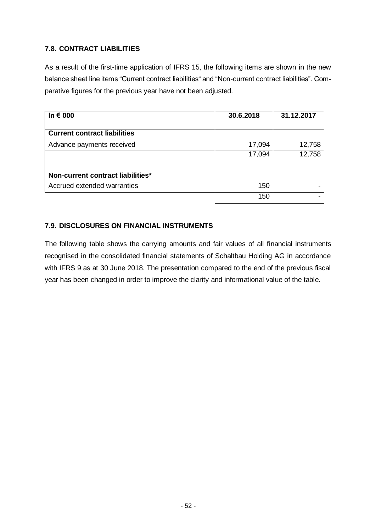### **7.8. CONTRACT LIABILITIES**

As a result of the first-time application of IFRS 15, the following items are shown in the new balance sheet line items "Current contract liabilities" and "Non-current contract liabilities". Comparative figures for the previous year have not been adjusted.

| In $\epsilon$ 000                   | 30.6.2018 | 31.12.2017 |
|-------------------------------------|-----------|------------|
| <b>Current contract liabilities</b> |           |            |
| Advance payments received           | 17,094    | 12,758     |
|                                     | 17,094    | 12,758     |
| Non-current contract liabilities*   |           |            |
| Accrued extended warranties         | 150       |            |
|                                     | 150       |            |

### **7.9. DISCLOSURES ON FINANCIAL INSTRUMENTS**

The following table shows the carrying amounts and fair values of all financial instruments recognised in the consolidated financial statements of Schaltbau Holding AG in accordance with IFRS 9 as at 30 June 2018. The presentation compared to the end of the previous fiscal year has been changed in order to improve the clarity and informational value of the table.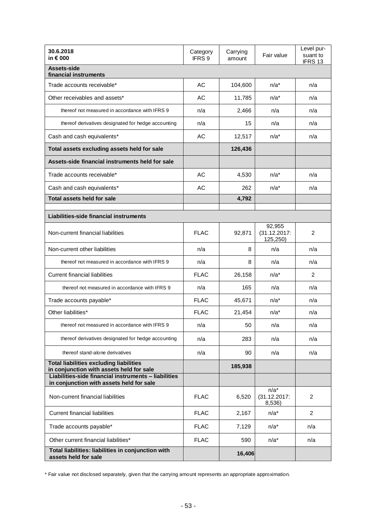| 30.6.2018<br>in € 000                                                                                                                                                                          | Category<br>IFRS 9 | Carrying<br>amount | Fair value                         | Level pur-<br>suant to<br>IFRS 13 |
|------------------------------------------------------------------------------------------------------------------------------------------------------------------------------------------------|--------------------|--------------------|------------------------------------|-----------------------------------|
| Assets-side<br>financial instruments                                                                                                                                                           |                    |                    |                                    |                                   |
| Trade accounts receivable*                                                                                                                                                                     | AC                 | 104,600            | $n/a^*$                            | n/a                               |
| Other receivables and assets*                                                                                                                                                                  | AC                 | 11,785             | $n/a^*$                            | n/a                               |
| thereof not measured in accordance with IFRS 9                                                                                                                                                 | n/a                | 2,466              | n/a                                | n/a                               |
| thereof derivatives designated for hedge accounting                                                                                                                                            | n/a                | 15                 | n/a                                | n/a                               |
| Cash and cash equivalents*                                                                                                                                                                     | AC                 | 12,517             | $n/a^*$                            | n/a                               |
| Total assets excluding assets held for sale                                                                                                                                                    |                    | 126,436            |                                    |                                   |
| Assets-side financial instruments held for sale                                                                                                                                                |                    |                    |                                    |                                   |
| Trade accounts receivable*                                                                                                                                                                     | AC                 | 4,530              | $n/a^*$                            | n/a                               |
| Cash and cash equivalents*                                                                                                                                                                     | AC                 | 262                | $n/a^*$                            | n/a                               |
| Total assets held for sale                                                                                                                                                                     |                    | 4,792              |                                    |                                   |
| Liabilities-side financial instruments                                                                                                                                                         |                    |                    |                                    |                                   |
| Non-current financial liabilities                                                                                                                                                              | <b>FLAC</b>        | 92,871             | 92,955<br>(31.12.2017)<br>125,250) | 2                                 |
| Non-current other liabilities                                                                                                                                                                  | n/a                | 8                  | n/a                                | n/a                               |
| thereof not measured in accordance with IFRS 9                                                                                                                                                 | n/a                | 8                  | n/a                                | n/a                               |
| <b>Current financial liabilities</b>                                                                                                                                                           | <b>FLAC</b>        | 26,158             | $n/a^*$                            | 2                                 |
| thereof not measured in accordance with IFRS 9                                                                                                                                                 | n/a                | 165                | n/a                                | n/a                               |
| Trade accounts payable*                                                                                                                                                                        | <b>FLAC</b>        | 45,671             | $n/a^*$                            | n/a                               |
| Other liabilities*                                                                                                                                                                             | <b>FLAC</b>        | 21,454             | $n/a^*$                            | n/a                               |
| thereof not measured in accordance with IFRS 9                                                                                                                                                 | n/a                | 50                 | n/a                                | n/a                               |
| thereof derivatives designated for hedge accounting                                                                                                                                            | n/a                | 283                | n/a                                | n/a                               |
| thereof stand-alone derivatives                                                                                                                                                                | n/a                | 90                 | n/a                                | n/a                               |
| <b>Total liabilities excluding liabilities</b><br>in conjunction with assets held for sale<br>Liabilities-side financial instruments - liabilities<br>in conjunction with assets held for sale |                    | 185,938            |                                    |                                   |
| Non-current financial liabilities                                                                                                                                                              | <b>FLAC</b>        | 6,520              | $n/a^*$<br>(31.12.2017)<br>8,536)  | 2                                 |
| <b>Current financial liabilities</b>                                                                                                                                                           | <b>FLAC</b>        | 2,167              | $n/a^*$                            | 2                                 |
| Trade accounts payable*                                                                                                                                                                        | <b>FLAC</b>        | 7,129              | $n/a^*$                            | n/a                               |
| Other current financial liabilities*                                                                                                                                                           | <b>FLAC</b>        | 590                | $n/a^*$                            | n/a                               |
| Total liabilities: liabilities in conjunction with<br>assets held for sale                                                                                                                     |                    | 16,406             |                                    |                                   |

\* Fair value not disclosed separately, given that the carrying amount represents an appropriate approximation.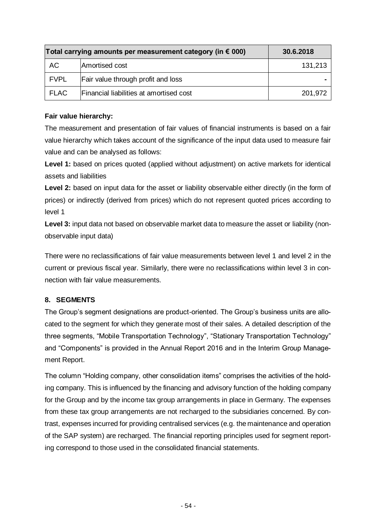| Total carrying amounts per measurement category (in $\epsilon$ 000) | 30.6.2018                               |         |
|---------------------------------------------------------------------|-----------------------------------------|---------|
| AC                                                                  | Amortised cost                          | 131,213 |
| <b>FVPL</b>                                                         | Fair value through profit and loss      |         |
| FLAC                                                                | Financial liabilities at amortised cost | 201,972 |

#### **Fair value hierarchy:**

The measurement and presentation of fair values of financial instruments is based on a fair value hierarchy which takes account of the significance of the input data used to measure fair value and can be analysed as follows:

**Level 1:** based on prices quoted (applied without adjustment) on active markets for identical assets and liabilities

**Level 2:** based on input data for the asset or liability observable either directly (in the form of prices) or indirectly (derived from prices) which do not represent quoted prices according to level 1

**Level 3:** input data not based on observable market data to measure the asset or liability (nonobservable input data)

There were no reclassifications of fair value measurements between level 1 and level 2 in the current or previous fiscal year. Similarly, there were no reclassifications within level 3 in connection with fair value measurements.

### **8. SEGMENTS**

The Group's segment designations are product-oriented. The Group's business units are allocated to the segment for which they generate most of their sales. A detailed description of the three segments, "Mobile Transportation Technology", "Stationary Transportation Technology" and "Components" is provided in the Annual Report 2016 and in the Interim Group Management Report.

The column "Holding company, other consolidation items" comprises the activities of the holding company. This is influenced by the financing and advisory function of the holding company for the Group and by the income tax group arrangements in place in Germany. The expenses from these tax group arrangements are not recharged to the subsidiaries concerned. By contrast, expenses incurred for providing centralised services (e.g. the maintenance and operation of the SAP system) are recharged. The financial reporting principles used for segment reporting correspond to those used in the consolidated financial statements.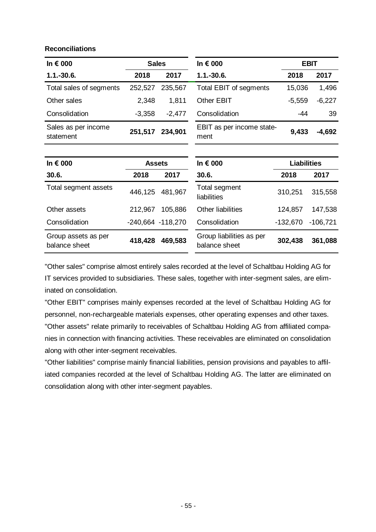#### **Reconciliations**

| In € 000                             | <b>Sales</b>          |          | In € 000                                  |                    | <b>EBIT</b>     |
|--------------------------------------|-----------------------|----------|-------------------------------------------|--------------------|-----------------|
| $1.1.-30.6.$                         | 2018                  | 2017     | $1.1.-30.6.$                              | 2018               | 2017            |
| Total sales of segments              | 252,527               | 235,567  | Total EBIT of segments                    | 15,036             | 1,496           |
| Other sales                          | 2,348                 | 1,811    | Other EBIT                                | $-5,559$           | $-6,227$        |
| Consolidation                        | $-3,358$              | $-2,477$ | Consolidation                             | -44                | 39              |
| Sales as per income<br>statement     | 251,517               | 234,901  | EBIT as per income state-<br>ment         |                    | 9,433<br>-4,692 |
|                                      |                       |          |                                           |                    |                 |
| In € 000                             | <b>Assets</b>         |          | In € 000                                  | <b>Liabilities</b> |                 |
| 30.6.                                | 2018                  | 2017     | 30.6.                                     | 2018               | 2017            |
| Total segment assets                 | 446,125               | 481,967  | Total segment<br>liabilities              | 310,251            | 315,558         |
| Other assets                         | 212,967               | 105,886  | <b>Other liabilities</b>                  | 124,857            | 147,538         |
| Consolidation                        | $-240,664$ $-118,270$ |          | Consolidation                             | $-132,670$         | $-106,721$      |
| Group assets as per<br>balance sheet | 418,428               | 469,583  | Group liabilities as per<br>balance sheet | 302,438            | 361,088         |

"Other sales" comprise almost entirely sales recorded at the level of Schaltbau Holding AG for IT services provided to subsidiaries. These sales, together with inter-segment sales, are eliminated on consolidation.

"Other EBIT" comprises mainly expenses recorded at the level of Schaltbau Holding AG for personnel, non-rechargeable materials expenses, other operating expenses and other taxes. "Other assets" relate primarily to receivables of Schaltbau Holding AG from affiliated companies in connection with financing activities. These receivables are eliminated on consolidation along with other inter-segment receivables.

"Other liabilities" comprise mainly financial liabilities, pension provisions and payables to affiliated companies recorded at the level of Schaltbau Holding AG. The latter are eliminated on consolidation along with other inter-segment payables.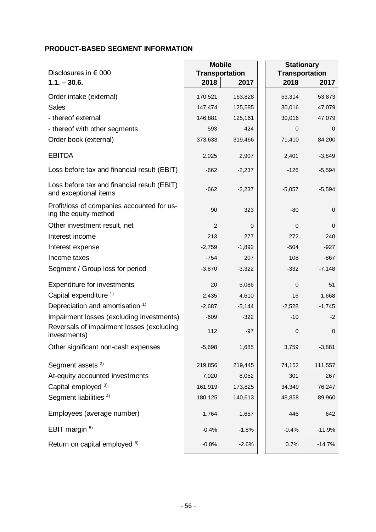#### **PRODUCT-BASED SEGMENT INFORMATION**

|                                                                      | <b>Mobile</b>         |          |          | <b>Stationary</b>     |  |
|----------------------------------------------------------------------|-----------------------|----------|----------|-----------------------|--|
| Disclosures in $\epsilon$ 000                                        | <b>Transportation</b> |          |          | <b>Transportation</b> |  |
| $1.1. - 30.6.$                                                       | 2018                  | 2017     | 2018     | 2017                  |  |
| Order intake (external)                                              | 170,521               | 163,828  | 53,314   | 53,873                |  |
| <b>Sales</b>                                                         | 147,474               | 125,585  | 30,016   | 47,079                |  |
| - thereof external                                                   | 146,881               | 125,161  | 30,016   | 47,079                |  |
| - thereof with other segments                                        | 593                   | 424      | 0        | 0                     |  |
| Order book (external)                                                | 373,633               | 319,466  | 71,410   | 84,200                |  |
| <b>EBITDA</b>                                                        | 2,025                 | 2,907    | 2,401    | $-3,849$              |  |
| Loss before tax and financial result (EBIT)                          | $-662$                | $-2,237$ | $-126$   | $-5,594$              |  |
| Loss before tax and financial result (EBIT)<br>and exceptional items | $-662$                | $-2,237$ | $-5,057$ | $-5,594$              |  |
| Profit/loss of companies accounted for us-<br>ing the equity method  | 90                    | 323      | $-80$    | 0                     |  |
| Other investment result, net                                         | $\overline{c}$        | 0        | 0        | 0                     |  |
| Interest income                                                      | 213                   | 277      | 272      | 240                   |  |
| Interest expense                                                     | $-2,759$              | $-1,892$ | $-504$   | $-927$                |  |
| Income taxes                                                         | $-754$                | 207      | 108      | $-867$                |  |
| Segment / Group loss for period                                      | $-3,870$              | $-3,322$ | $-332$   | $-7,148$              |  |
| <b>Expenditure for investments</b>                                   | 20                    | 5,086    | 0        | 51                    |  |
| Capital expenditure <sup>1)</sup>                                    | 2,435                 | 4,610    | 16       | 1,668                 |  |
| Depreciation and amortisation 1)                                     | $-2,687$              | $-5,144$ | $-2,528$ | $-1,745$              |  |
| Impairment losses (excluding investments)                            | $-609$                | $-322$   | $-10$    | $-2$                  |  |
| Reversals of impairment losses (excluding<br>investments)            | 112                   | $-97$    | 0        | 0                     |  |
| Other significant non-cash expenses                                  | $-5,698$              | 1,685    | 3,759    | $-3,881$              |  |
| Segment assets <sup>2)</sup>                                         | 219,856               | 219,445  | 74,152   | 111,557               |  |
| At-equity accounted investments                                      | 7,020                 | 8,052    | 301      | 267                   |  |
| Capital employed 3)                                                  | 161,919               | 173,825  | 34,349   | 76,247                |  |
| Segment liabilities <sup>4)</sup>                                    | 180,125               | 140,613  | 48,858   | 89,960                |  |
| Employees (average number)                                           | 1,764                 | 1,657    | 446      | 642                   |  |
| EBIT margin <sup>5)</sup>                                            | $-0.4%$               | $-1.8%$  | $-0.4%$  | $-11.9%$              |  |
| Return on capital employed <sup>6)</sup>                             | $-0.8%$               | $-2.6%$  | 0.7%     | $-14.7%$              |  |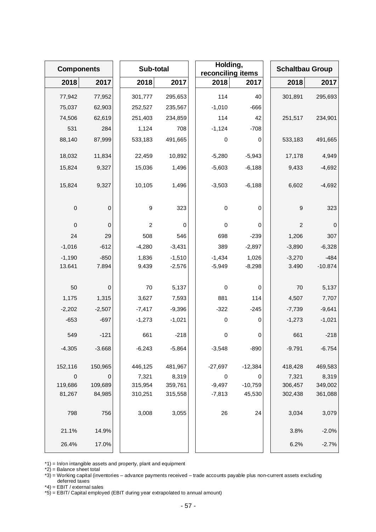| <b>Components</b> |                  |                | Sub-total   |             | Holding,<br>reconciling items |                  | <b>Schaltbau Group</b> |
|-------------------|------------------|----------------|-------------|-------------|-------------------------------|------------------|------------------------|
| 2018              | 2017             | 2018           | 2017        | 2018        | 2017                          | 2018             | 2017                   |
| 77,942            | 77,952           | 301,777        | 295,653     | 114         | 40                            | 301,891          | 295,693                |
| 75,037            | 62,903           | 252,527        | 235,567     | $-1,010$    | $-666$                        |                  |                        |
| 74,506            | 62,619           | 251,403        | 234,859     | 114         | 42                            | 251,517          | 234,901                |
| 531               | 284              | 1,124          | 708         | $-1,124$    | $-708$                        |                  |                        |
| 88,140            | 87,999           | 533,183        | 491,665     | 0           | 0                             | 533,183          | 491,665                |
| 18,032            | 11,834           | 22,459         | 10,892      | $-5,280$    | $-5,943$                      | 17,178           | 4,949                  |
| 15,824            | 9,327            | 15,036         | 1,496       | $-5,603$    | $-6,188$                      | 9,433            | $-4,692$               |
| 15,824            | 9,327            | 10,105         | 1,496       | $-3,503$    | $-6,188$                      | 6,602            | $-4,692$               |
| $\mbox{O}$        | 0                | 9              | 323         | 0           | 0                             | $\boldsymbol{9}$ | 323                    |
| $\mathbf 0$       | $\mathbf 0$      | $\overline{c}$ | $\mathbf 0$ | $\mathbf 0$ | 0                             | $\overline{c}$   | $\boldsymbol{0}$       |
| 24                | 29               | 508            | 546         | 698         | $-239$                        | 1,206            | 307                    |
| $-1,016$          | $-612$           | $-4,280$       | $-3,431$    | 389         | $-2,897$                      | $-3,890$         | $-6,328$               |
| $-1,190$          | $-850$           | 1,836          | $-1,510$    | $-1,434$    | 1,026                         | $-3,270$         | $-484$                 |
| 13.641            | 7.894            | 9.439          | $-2.576$    | $-5.949$    | $-8.298$                      | 3.490            | $-10.874$              |
|                   |                  |                |             |             |                               |                  |                        |
| 50                | 0                | 70             | 5,137       | $\pmb{0}$   | 0                             | 70               | 5,137                  |
| 1,175             | 1,315            | 3,627          | 7,593       | 881         | 114                           | 4,507            | 7,707                  |
| $-2,202$          | $-2,507$         | $-7,417$       | $-9,396$    | $-322$      | $-245$                        | $-7,739$         | $-9,641$               |
| $-653$            | $-697$           | $-1,273$       | $-1,021$    | $\,0\,$     | 0                             | $-1,273$         | $-1,021$               |
| 549               | $-121$           | 661            | $-218$      | 0           | 0                             | 661              | $-218$                 |
| $-4.305$          | $-3.668$         | $-6,243$       | $-5,864$    | $-3,548$    | $-890$                        | $-9.791$         | $-6.754$               |
| 152,116           | 150,965          | 446,125        | 481,967     | $-27,697$   | $-12,384$                     | 418,428          | 469,583                |
| $\mathbf 0$       | $\boldsymbol{0}$ | 7,321          | 8,319       | 0           | 0                             | 7,321            | 8,319                  |
| 119,686           | 109,689          | 315,954        | 359,761     | $-9,497$    | $-10,759$                     | 306,457          | 349,002                |
| 81,267            | 84,985           | 310,251        | 315,558     | $-7,813$    | 45,530                        | 302,438          | 361,088                |
| 798               | 756              | 3,008          | 3,055       | 26          | 24                            | 3,034            | 3,079                  |
| 21.1%             | 14.9%            |                |             |             |                               | 3.8%             | $-2.0%$                |
| 26.4%             | 17.0%            |                |             |             |                               | 6.2%             | $-2.7%$                |

\*1) = In/on intangible assets and property, plant and equipment

\*2) = Balance sheet total

\*3) = Working capital (inventories – advance payments received – trade accounts payable plus non-current assets excluding deferred taxes

\*4) = EBIT / external sales

\*5) = EBIT/ Capital employed (EBIT during year extrapolated to annual amount)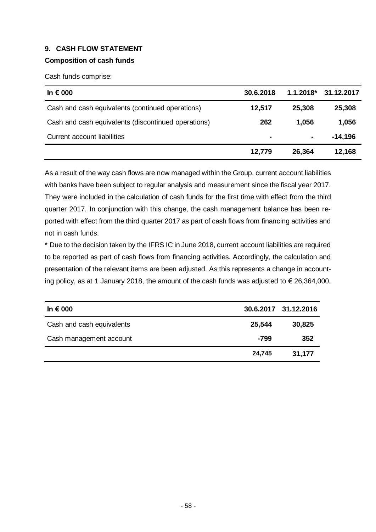#### **9. CASH FLOW STATEMENT**

#### **Composition of cash funds**

Cash funds comprise:

| In $\epsilon$ 000                                   | 30.6.2018      | $1.1.2018^*$   | 31.12.2017 |
|-----------------------------------------------------|----------------|----------------|------------|
| Cash and cash equivalents (continued operations)    | 12,517         | 25,308         | 25,308     |
| Cash and cash equivalents (discontinued operations) | 262            | 1.056          | 1,056      |
| Current account liabilities                         | $\blacksquare$ | $\blacksquare$ | $-14,196$  |
|                                                     | 12,779         | 26,364         | 12,168     |

As a result of the way cash flows are now managed within the Group, current account liabilities with banks have been subject to regular analysis and measurement since the fiscal year 2017. They were included in the calculation of cash funds for the first time with effect from the third quarter 2017. In conjunction with this change, the cash management balance has been reported with effect from the third quarter 2017 as part of cash flows from financing activities and not in cash funds.

\* Due to the decision taken by the IFRS IC in June 2018, current account liabilities are required to be reported as part of cash flows from financing activities. Accordingly, the calculation and presentation of the relevant items are been adjusted. As this represents a change in accounting policy, as at 1 January 2018, the amount of the cash funds was adjusted to  $\epsilon$  26,364,000.

| In $\epsilon$ 000         |        | 30.6.2017 31.12.2016 |
|---------------------------|--------|----------------------|
| Cash and cash equivalents | 25,544 | 30,825               |
| Cash management account   | -799   | 352                  |
|                           | 24,745 | 31,177               |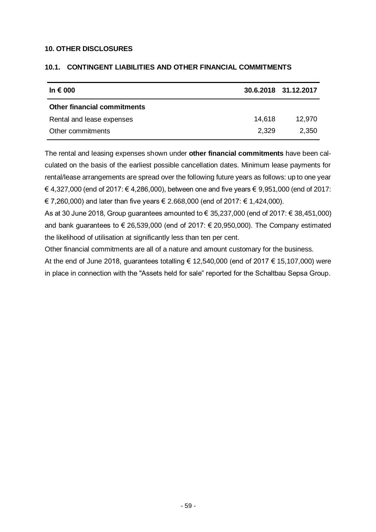#### **10. OTHER DISCLOSURES**

| In € 000                           |        | 30.6.2018 31.12.2017 |
|------------------------------------|--------|----------------------|
| <b>Other financial commitments</b> |        |                      |
| Rental and lease expenses          | 14,618 | 12.970               |
| Other commitments                  | 2.329  | 2,350                |

#### **10.1. CONTINGENT LIABILITIES AND OTHER FINANCIAL COMMITMENTS**

The rental and leasing expenses shown under **other financial commitments** have been calculated on the basis of the earliest possible cancellation dates. Minimum lease payments for rental/lease arrangements are spread over the following future years as follows: up to one year € 4,327,000 (end of 2017: € 4,286,000), between one and five years € 9,951,000 (end of 2017: € 7,260,000) and later than five years € 2.668,000 (end of 2017: € 1,424,000).

As at 30 June 2018, Group guarantees amounted to € 35,237,000 (end of 2017: € 38,451,000) and bank guarantees to  $\epsilon$  26,539,000 (end of 2017:  $\epsilon$  20,950,000). The Company estimated the likelihood of utilisation at significantly less than ten per cent.

Other financial commitments are all of a nature and amount customary for the business.

At the end of June 2018, guarantees totalling € 12,540,000 (end of 2017 € 15,107,000) were in place in connection with the "Assets held for sale" reported for the Schaltbau Sepsa Group.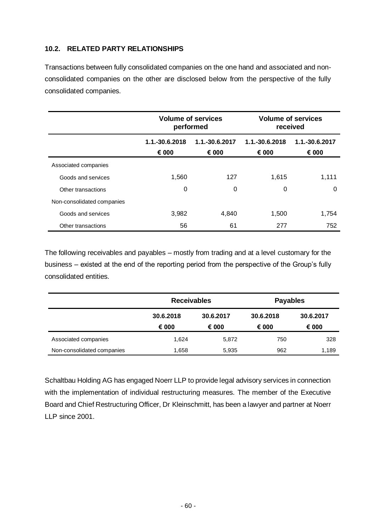#### **10.2. RELATED PARTY RELATIONSHIPS**

Transactions between fully consolidated companies on the one hand and associated and nonconsolidated companies on the other are disclosed below from the perspective of the fully consolidated companies.

|                            |                                                    | <b>Volume of services</b><br>performed |                         | <b>Volume of services</b><br>received |  |  |
|----------------------------|----------------------------------------------------|----------------------------------------|-------------------------|---------------------------------------|--|--|
|                            | 1.1.-30.6.2017<br>1.1.-30.6.2018<br>€ 000<br>€ 000 |                                        | 1.1.-30.6.2018<br>€ 000 | 1.1.-30.6.2017<br>€ 000               |  |  |
| Associated companies       |                                                    |                                        |                         |                                       |  |  |
| Goods and services         | 1,560                                              | 127                                    | 1,615                   | 1,111                                 |  |  |
| Other transactions         | 0                                                  | 0                                      | 0                       | $\Omega$                              |  |  |
| Non-consolidated companies |                                                    |                                        |                         |                                       |  |  |
| Goods and services         | 3,982                                              | 4,840                                  | 1,500                   | 1,754                                 |  |  |
| Other transactions         | 56                                                 | 61                                     | 277                     | 752                                   |  |  |

The following receivables and payables – mostly from trading and at a level customary for the business – existed at the end of the reporting period from the perspective of the Group's fully consolidated entities.

|                            | <b>Receivables</b> |           |           | <b>Payables</b> |  |  |
|----------------------------|--------------------|-----------|-----------|-----------------|--|--|
|                            | 30.6.2018          | 30.6.2017 | 30.6.2018 | 30.6.2017       |  |  |
|                            | € 000              | € 000     | € 000     | € 000           |  |  |
| Associated companies       | 1,624              | 5,872     | 750       | 328             |  |  |
| Non-consolidated companies | 1,658              | 5,935     | 962       | 1,189           |  |  |

Schaltbau Holding AG has engaged Noerr LLP to provide legal advisory services in connection with the implementation of individual restructuring measures. The member of the Executive Board and Chief Restructuring Officer, Dr Kleinschmitt, has been a lawyer and partner at Noerr LLP since 2001.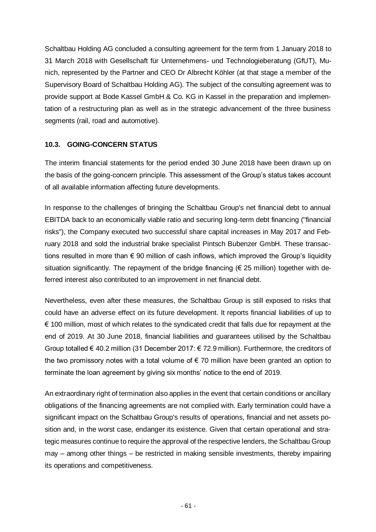Schaltbau Holding AG concluded a consulting agreement for the term from 1 January 2018 to 31 March 2018 with Gesellschaft für Unternehmens- und Technologieberatung (GfUT), Munich, represented by the Partner and CEO Dr Albrecht Köhler (at that stage a member of the Supervisory Board of Schaltbau Holding AG). The subject of the consulting agreement was to provide support at Bode Kassel GmbH & Co. KG in Kassel in the preparation and implementation of a restructuring plan as well as in the strategic advancement of the three business segments (rail, road and automotive).

#### **10.3. GOING-CONCERN STATUS**

The interim financial statements for the period ended 30 June 2018 have been drawn up on the basis of the going-concern principle. This assessment of the Group's status takes account of all available information affecting future developments.

In response to the challenges of bringing the Schaltbau Group's net financial debt to annual EBITDA back to an economically viable ratio and securing long-term debt financing ("financial risks"), the Company executed two successful share capital increases in May 2017 and February 2018 and sold the industrial brake specialist Pintsch Bubenzer GmbH. These transactions resulted in more than  $\epsilon$  90 million of cash inflows, which improved the Group's liquidity situation significantly. The repayment of the bridge financing ( $\epsilon$  25 million) together with deferred interest also contributed to an improvement in net financial debt.

Nevertheless, even after these measures, the Schaltbau Group is still exposed to risks that could have an adverse effect on its future development. It reports financial liabilities of up to € 100 million, most of which relates to the syndicated credit that falls due for repayment at the end of 2019. At 30 June 2018, financial liabilities and guarantees utilised by the Schaltbau Group totalled € 40.2 million (31 December 2017: € 72.9 million). Furthermore, the creditors of the two promissory notes with a total volume of  $\epsilon$  70 million have been granted an option to terminate the loan agreement by giving six months' notice to the end of 2019.

An extraordinary right of termination also applies in the event that certain conditions or ancillary obligations of the financing agreements are not complied with. Early termination could have a significant impact on the Schaltbau Group's results of operations, financial and net assets position and, in the worst case, endanger its existence. Given that certain operational and strategic measures continue to require the approval of the respective lenders, the Schaltbau Group may – among other things – be restricted in making sensible investments, thereby impairing its operations and competitiveness.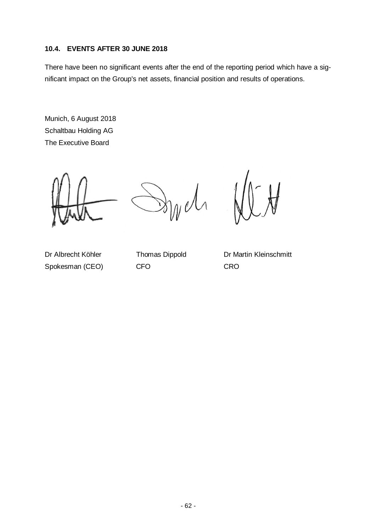#### **10.4. EVENTS AFTER 30 JUNE 2018**

There have been no significant events after the end of the reporting period which have a significant impact on the Group's net assets, financial position and results of operations.

Munich, 6 August 2018 Schaltbau Holding AG The Executive Board

Spokesman (CEO) CFO CRO

Dr Albrecht Köhler Thomas Dippold Dr Martin Kleinschmitt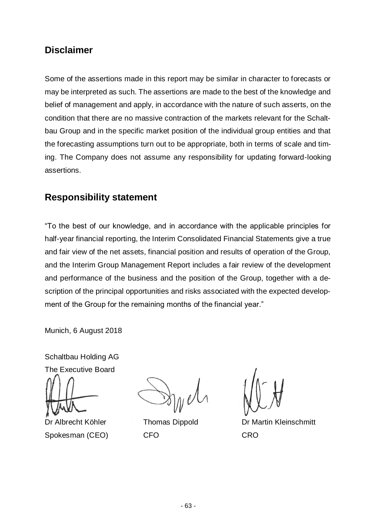## **Disclaimer**

Some of the assertions made in this report may be similar in character to forecasts or may be interpreted as such. The assertions are made to the best of the knowledge and belief of management and apply, in accordance with the nature of such asserts, on the condition that there are no massive contraction of the markets relevant for the Schaltbau Group and in the specific market position of the individual group entities and that the forecasting assumptions turn out to be appropriate, both in terms of scale and timing. The Company does not assume any responsibility for updating forward-looking assertions.

## **Responsibility statement**

"To the best of our knowledge, and in accordance with the applicable principles for half-year financial reporting, the Interim Consolidated Financial Statements give a true and fair view of the net assets, financial position and results of operation of the Group, and the Interim Group Management Report includes a fair review of the development and performance of the business and the position of the Group, together with a description of the principal opportunities and risks associated with the expected development of the Group for the remaining months of the financial year."

Munich, 6 August 2018

Schaltbau Holding AG

The Executive Board

Spokesman (CEO) CFO CRO

Dr Albrecht Köhler Thomas Dippold Dr Martin Kleinschmitt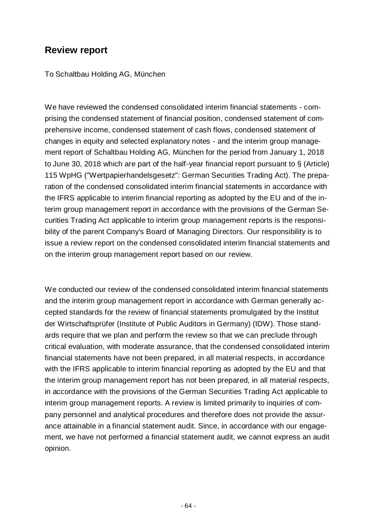## **Review report**

To Schaltbau Holding AG, München

We have reviewed the condensed consolidated interim financial statements - comprising the condensed statement of financial position, condensed statement of comprehensive income, condensed statement of cash flows, condensed statement of changes in equity and selected explanatory notes - and the interim group management report of Schaltbau Holding AG, München for the period from January 1, 2018 to June 30, 2018 which are part of the half-year financial report pursuant to § (Article) 115 WpHG ("Wertpapierhandelsgesetz": German Securities Trading Act). The preparation of the condensed consolidated interim financial statements in accordance with the IFRS applicable to interim financial reporting as adopted by the EU and of the interim group management report in accordance with the provisions of the German Securities Trading Act applicable to interim group management reports is the responsibility of the parent Company's Board of Managing Directors. Our responsibility is to issue a review report on the condensed consolidated interim financial statements and on the interim group management report based on our review.

We conducted our review of the condensed consolidated interim financial statements and the interim group management report in accordance with German generally accepted standards for the review of financial statements promulgated by the Institut der Wirtschaftsprüfer (Institute of Public Auditors in Germany) (IDW). Those standards require that we plan and perform the review so that we can preclude through critical evaluation, with moderate assurance, that the condensed consolidated interim financial statements have not been prepared, in all material respects, in accordance with the IFRS applicable to interim financial reporting as adopted by the EU and that the interim group management report has not been prepared, in all material respects, in accordance with the provisions of the German Securities Trading Act applicable to interim group management reports. A review is limited primarily to inquiries of company personnel and analytical procedures and therefore does not provide the assurance attainable in a financial statement audit. Since, in accordance with our engagement, we have not performed a financial statement audit, we cannot express an audit opinion.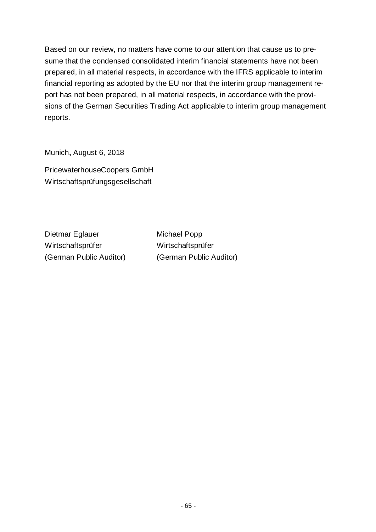Based on our review, no matters have come to our attention that cause us to presume that the condensed consolidated interim financial statements have not been prepared, in all material respects, in accordance with the IFRS applicable to interim financial reporting as adopted by the EU nor that the interim group management report has not been prepared, in all material respects, in accordance with the provisions of the German Securities Trading Act applicable to interim group management reports.

Munich**,** August 6, 2018

PricewaterhouseCoopers GmbH Wirtschaftsprüfungsgesellschaft

Dietmar Eglauer Michael Popp Wirtschaftsprüfer Wirtschaftsprüfer

(German Public Auditor) (German Public Auditor)